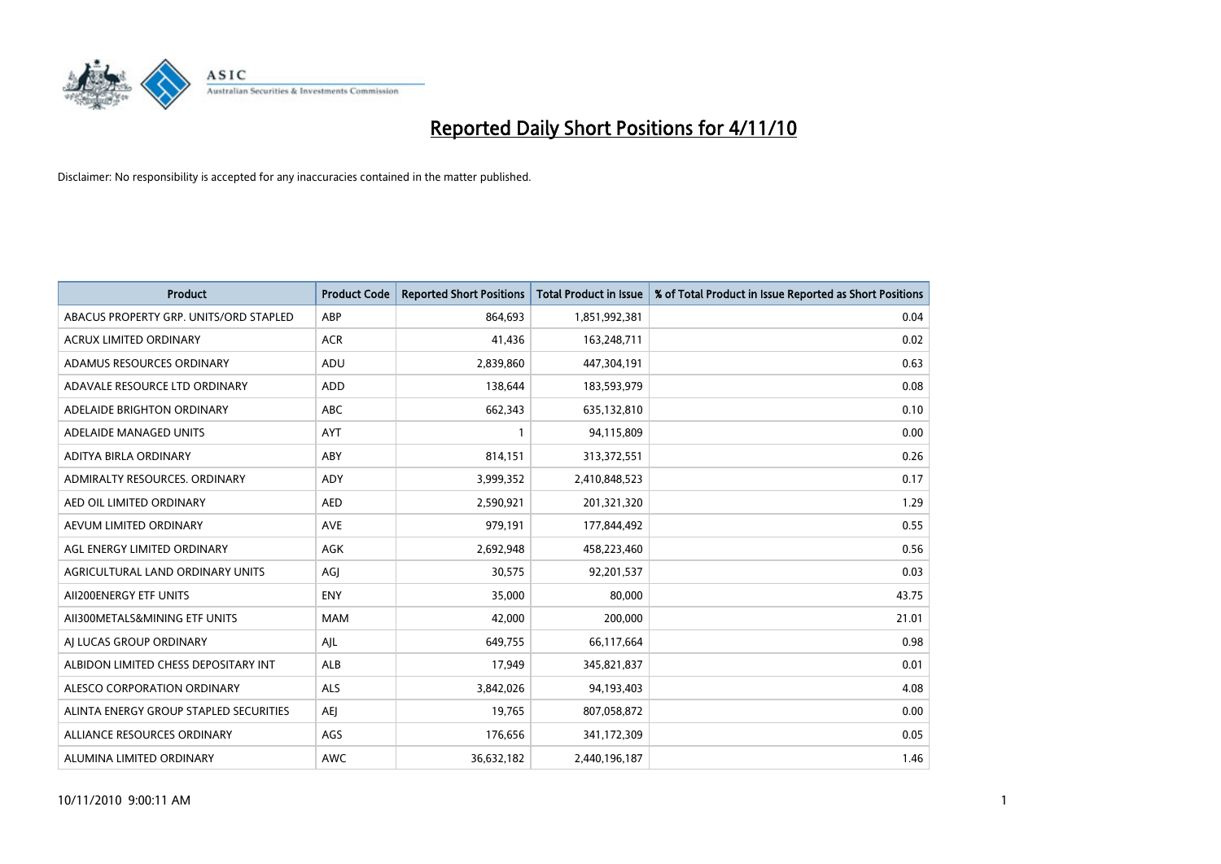

| <b>Product</b>                         | <b>Product Code</b> | <b>Reported Short Positions</b> | <b>Total Product in Issue</b> | % of Total Product in Issue Reported as Short Positions |
|----------------------------------------|---------------------|---------------------------------|-------------------------------|---------------------------------------------------------|
| ABACUS PROPERTY GRP. UNITS/ORD STAPLED | ABP                 | 864,693                         | 1,851,992,381                 | 0.04                                                    |
| ACRUX LIMITED ORDINARY                 | <b>ACR</b>          | 41,436                          | 163,248,711                   | 0.02                                                    |
| ADAMUS RESOURCES ORDINARY              | ADU                 | 2,839,860                       | 447,304,191                   | 0.63                                                    |
| ADAVALE RESOURCE LTD ORDINARY          | ADD                 | 138,644                         | 183,593,979                   | 0.08                                                    |
| ADELAIDE BRIGHTON ORDINARY             | <b>ABC</b>          | 662,343                         | 635,132,810                   | 0.10                                                    |
| ADELAIDE MANAGED UNITS                 | <b>AYT</b>          |                                 | 94,115,809                    | 0.00                                                    |
| ADITYA BIRLA ORDINARY                  | ABY                 | 814,151                         | 313,372,551                   | 0.26                                                    |
| ADMIRALTY RESOURCES, ORDINARY          | ADY                 | 3,999,352                       | 2,410,848,523                 | 0.17                                                    |
| AED OIL LIMITED ORDINARY               | <b>AED</b>          | 2,590,921                       | 201,321,320                   | 1.29                                                    |
| AEVUM LIMITED ORDINARY                 | <b>AVE</b>          | 979,191                         | 177,844,492                   | 0.55                                                    |
| AGL ENERGY LIMITED ORDINARY            | <b>AGK</b>          | 2,692,948                       | 458,223,460                   | 0.56                                                    |
| AGRICULTURAL LAND ORDINARY UNITS       | AGI                 | 30,575                          | 92,201,537                    | 0.03                                                    |
| AII200ENERGY ETF UNITS                 | <b>ENY</b>          | 35,000                          | 80,000                        | 43.75                                                   |
| AII300METALS&MINING ETF UNITS          | <b>MAM</b>          | 42,000                          | 200,000                       | 21.01                                                   |
| AI LUCAS GROUP ORDINARY                | AJL                 | 649,755                         | 66,117,664                    | 0.98                                                    |
| ALBIDON LIMITED CHESS DEPOSITARY INT   | ALB                 | 17,949                          | 345,821,837                   | 0.01                                                    |
| ALESCO CORPORATION ORDINARY            | <b>ALS</b>          | 3,842,026                       | 94,193,403                    | 4.08                                                    |
| ALINTA ENERGY GROUP STAPLED SECURITIES | <b>AEI</b>          | 19,765                          | 807,058,872                   | 0.00                                                    |
| ALLIANCE RESOURCES ORDINARY            | AGS                 | 176,656                         | 341,172,309                   | 0.05                                                    |
| ALUMINA LIMITED ORDINARY               | <b>AWC</b>          | 36,632,182                      | 2,440,196,187                 | 1.46                                                    |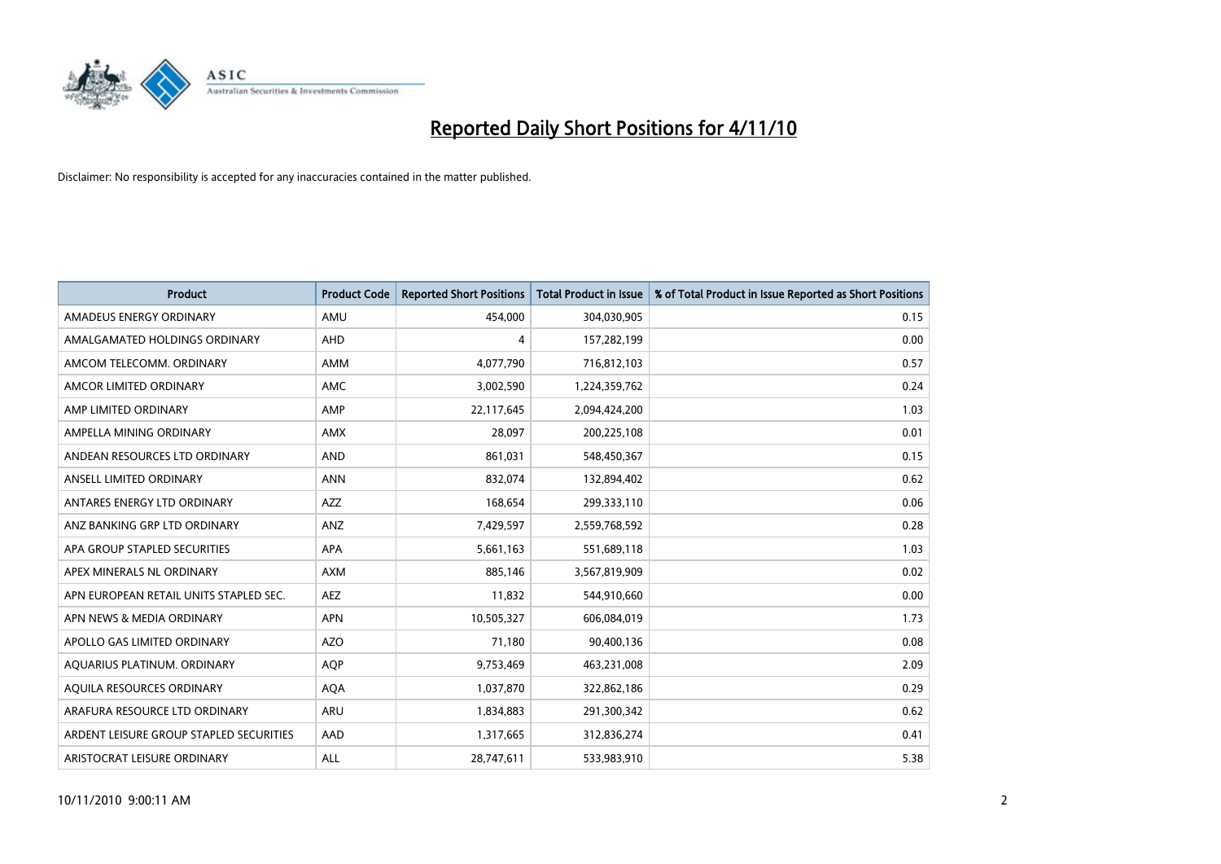

| <b>Product</b>                          | <b>Product Code</b> | <b>Reported Short Positions</b> | <b>Total Product in Issue</b> | % of Total Product in Issue Reported as Short Positions |
|-----------------------------------------|---------------------|---------------------------------|-------------------------------|---------------------------------------------------------|
| AMADEUS ENERGY ORDINARY                 | AMU                 | 454.000                         | 304,030,905                   | 0.15                                                    |
| AMALGAMATED HOLDINGS ORDINARY           | <b>AHD</b>          | 4                               | 157,282,199                   | 0.00                                                    |
| AMCOM TELECOMM, ORDINARY                | AMM                 | 4,077,790                       | 716,812,103                   | 0.57                                                    |
| AMCOR LIMITED ORDINARY                  | <b>AMC</b>          | 3,002,590                       | 1,224,359,762                 | 0.24                                                    |
| AMP LIMITED ORDINARY                    | AMP                 | 22,117,645                      | 2,094,424,200                 | 1.03                                                    |
| AMPELLA MINING ORDINARY                 | <b>AMX</b>          | 28,097                          | 200,225,108                   | 0.01                                                    |
| ANDEAN RESOURCES LTD ORDINARY           | <b>AND</b>          | 861,031                         | 548,450,367                   | 0.15                                                    |
| ANSELL LIMITED ORDINARY                 | <b>ANN</b>          | 832,074                         | 132,894,402                   | 0.62                                                    |
| ANTARES ENERGY LTD ORDINARY             | <b>AZZ</b>          | 168,654                         | 299,333,110                   | 0.06                                                    |
| ANZ BANKING GRP LTD ORDINARY            | ANZ                 | 7,429,597                       | 2,559,768,592                 | 0.28                                                    |
| APA GROUP STAPLED SECURITIES            | <b>APA</b>          | 5,661,163                       | 551,689,118                   | 1.03                                                    |
| APEX MINERALS NL ORDINARY               | <b>AXM</b>          | 885,146                         | 3,567,819,909                 | 0.02                                                    |
| APN EUROPEAN RETAIL UNITS STAPLED SEC.  | <b>AEZ</b>          | 11,832                          | 544,910,660                   | 0.00                                                    |
| APN NEWS & MEDIA ORDINARY               | <b>APN</b>          | 10,505,327                      | 606,084,019                   | 1.73                                                    |
| APOLLO GAS LIMITED ORDINARY             | <b>AZO</b>          | 71.180                          | 90,400,136                    | 0.08                                                    |
| AQUARIUS PLATINUM. ORDINARY             | <b>AQP</b>          | 9,753,469                       | 463,231,008                   | 2.09                                                    |
| AQUILA RESOURCES ORDINARY               | <b>AQA</b>          | 1,037,870                       | 322,862,186                   | 0.29                                                    |
| ARAFURA RESOURCE LTD ORDINARY           | <b>ARU</b>          | 1,834,883                       | 291,300,342                   | 0.62                                                    |
| ARDENT LEISURE GROUP STAPLED SECURITIES | AAD                 | 1,317,665                       | 312,836,274                   | 0.41                                                    |
| ARISTOCRAT LEISURE ORDINARY             | ALL                 | 28,747,611                      | 533,983,910                   | 5.38                                                    |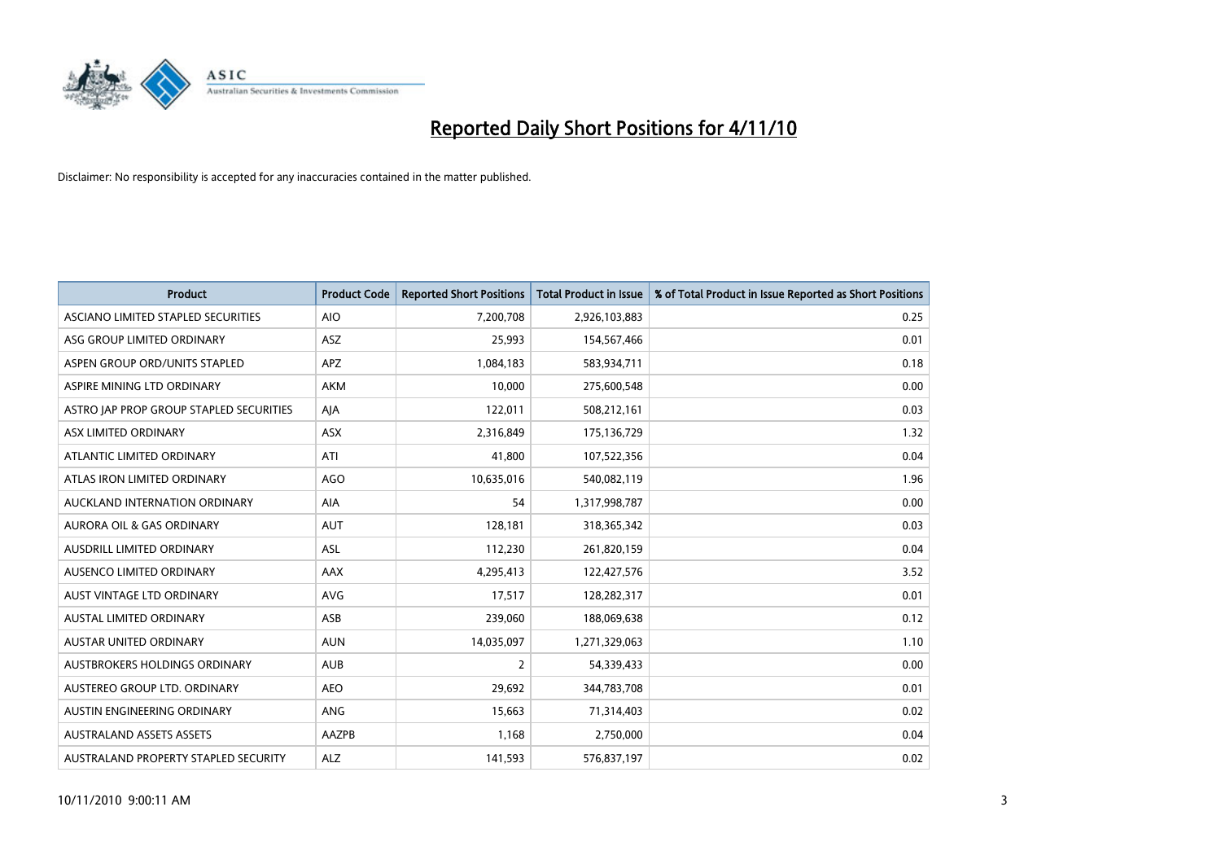

| <b>Product</b>                          | <b>Product Code</b> | <b>Reported Short Positions</b> | Total Product in Issue | % of Total Product in Issue Reported as Short Positions |
|-----------------------------------------|---------------------|---------------------------------|------------------------|---------------------------------------------------------|
| ASCIANO LIMITED STAPLED SECURITIES      | <b>AIO</b>          | 7,200,708                       | 2,926,103,883          | 0.25                                                    |
| ASG GROUP LIMITED ORDINARY              | <b>ASZ</b>          | 25.993                          | 154,567,466            | 0.01                                                    |
| ASPEN GROUP ORD/UNITS STAPLED           | <b>APZ</b>          | 1,084,183                       | 583,934,711            | 0.18                                                    |
| ASPIRE MINING LTD ORDINARY              | <b>AKM</b>          | 10,000                          | 275,600,548            | 0.00                                                    |
| ASTRO JAP PROP GROUP STAPLED SECURITIES | AJA                 | 122,011                         | 508,212,161            | 0.03                                                    |
| ASX LIMITED ORDINARY                    | ASX                 | 2,316,849                       | 175,136,729            | 1.32                                                    |
| ATLANTIC LIMITED ORDINARY               | ATI                 | 41,800                          | 107,522,356            | 0.04                                                    |
| ATLAS IRON LIMITED ORDINARY             | <b>AGO</b>          | 10,635,016                      | 540,082,119            | 1.96                                                    |
| AUCKLAND INTERNATION ORDINARY           | <b>AIA</b>          | 54                              | 1,317,998,787          | 0.00                                                    |
| <b>AURORA OIL &amp; GAS ORDINARY</b>    | <b>AUT</b>          | 128,181                         | 318,365,342            | 0.03                                                    |
| AUSDRILL LIMITED ORDINARY               | <b>ASL</b>          | 112,230                         | 261,820,159            | 0.04                                                    |
| AUSENCO LIMITED ORDINARY                | <b>AAX</b>          | 4,295,413                       | 122,427,576            | 3.52                                                    |
| AUST VINTAGE LTD ORDINARY               | <b>AVG</b>          | 17.517                          | 128,282,317            | 0.01                                                    |
| <b>AUSTAL LIMITED ORDINARY</b>          | ASB                 | 239.060                         | 188,069,638            | 0.12                                                    |
| AUSTAR UNITED ORDINARY                  | <b>AUN</b>          | 14,035,097                      | 1,271,329,063          | 1.10                                                    |
| AUSTBROKERS HOLDINGS ORDINARY           | <b>AUB</b>          | 2                               | 54,339,433             | 0.00                                                    |
| AUSTEREO GROUP LTD. ORDINARY            | <b>AEO</b>          | 29,692                          | 344,783,708            | 0.01                                                    |
| AUSTIN ENGINEERING ORDINARY             | ANG                 | 15,663                          | 71,314,403             | 0.02                                                    |
| <b>AUSTRALAND ASSETS ASSETS</b>         | <b>AAZPB</b>        | 1,168                           | 2,750,000              | 0.04                                                    |
| AUSTRALAND PROPERTY STAPLED SECURITY    | <b>ALZ</b>          | 141,593                         | 576,837,197            | 0.02                                                    |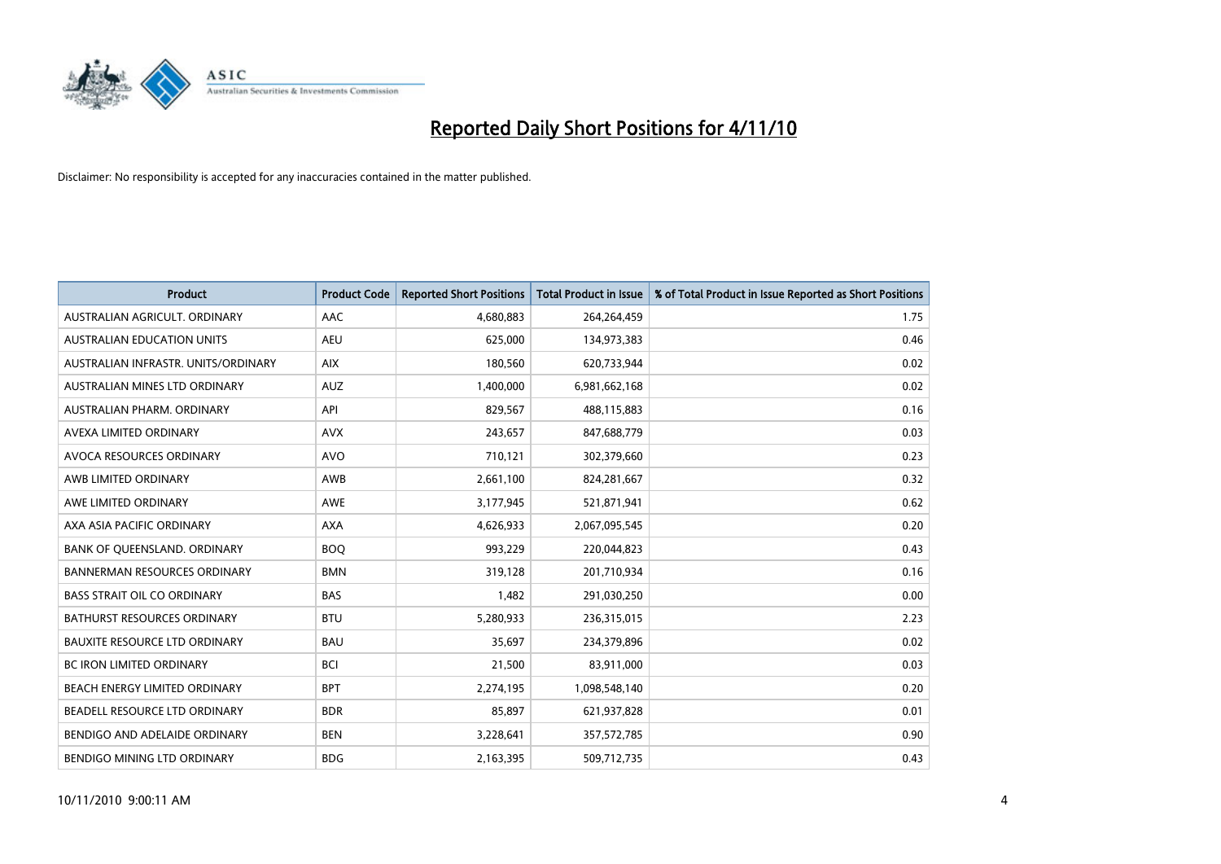

| <b>Product</b>                       | <b>Product Code</b> | <b>Reported Short Positions</b> | Total Product in Issue | % of Total Product in Issue Reported as Short Positions |
|--------------------------------------|---------------------|---------------------------------|------------------------|---------------------------------------------------------|
| AUSTRALIAN AGRICULT, ORDINARY        | <b>AAC</b>          | 4,680,883                       | 264,264,459            | 1.75                                                    |
| <b>AUSTRALIAN EDUCATION UNITS</b>    | <b>AEU</b>          | 625,000                         | 134,973,383            | 0.46                                                    |
| AUSTRALIAN INFRASTR, UNITS/ORDINARY  | <b>AIX</b>          | 180,560                         | 620,733,944            | 0.02                                                    |
| AUSTRALIAN MINES LTD ORDINARY        | <b>AUZ</b>          | 1,400,000                       | 6,981,662,168          | 0.02                                                    |
| AUSTRALIAN PHARM, ORDINARY           | API                 | 829,567                         | 488,115,883            | 0.16                                                    |
| AVEXA LIMITED ORDINARY               | <b>AVX</b>          | 243,657                         | 847,688,779            | 0.03                                                    |
| AVOCA RESOURCES ORDINARY             | <b>AVO</b>          | 710.121                         | 302,379,660            | 0.23                                                    |
| AWB LIMITED ORDINARY                 | AWB                 | 2,661,100                       | 824,281,667            | 0.32                                                    |
| AWE LIMITED ORDINARY                 | <b>AWE</b>          | 3,177,945                       | 521,871,941            | 0.62                                                    |
| AXA ASIA PACIFIC ORDINARY            | <b>AXA</b>          | 4,626,933                       | 2,067,095,545          | 0.20                                                    |
| BANK OF QUEENSLAND. ORDINARY         | <b>BOQ</b>          | 993,229                         | 220,044,823            | 0.43                                                    |
| <b>BANNERMAN RESOURCES ORDINARY</b>  | <b>BMN</b>          | 319,128                         | 201,710,934            | 0.16                                                    |
| <b>BASS STRAIT OIL CO ORDINARY</b>   | <b>BAS</b>          | 1.482                           | 291,030,250            | 0.00                                                    |
| <b>BATHURST RESOURCES ORDINARY</b>   | <b>BTU</b>          | 5,280,933                       | 236,315,015            | 2.23                                                    |
| <b>BAUXITE RESOURCE LTD ORDINARY</b> | <b>BAU</b>          | 35,697                          | 234,379,896            | 0.02                                                    |
| <b>BC IRON LIMITED ORDINARY</b>      | <b>BCI</b>          | 21,500                          | 83,911,000             | 0.03                                                    |
| BEACH ENERGY LIMITED ORDINARY        | <b>BPT</b>          | 2,274,195                       | 1,098,548,140          | 0.20                                                    |
| BEADELL RESOURCE LTD ORDINARY        | <b>BDR</b>          | 85,897                          | 621,937,828            | 0.01                                                    |
| BENDIGO AND ADELAIDE ORDINARY        | <b>BEN</b>          | 3,228,641                       | 357,572,785            | 0.90                                                    |
| <b>BENDIGO MINING LTD ORDINARY</b>   | <b>BDG</b>          | 2,163,395                       | 509,712,735            | 0.43                                                    |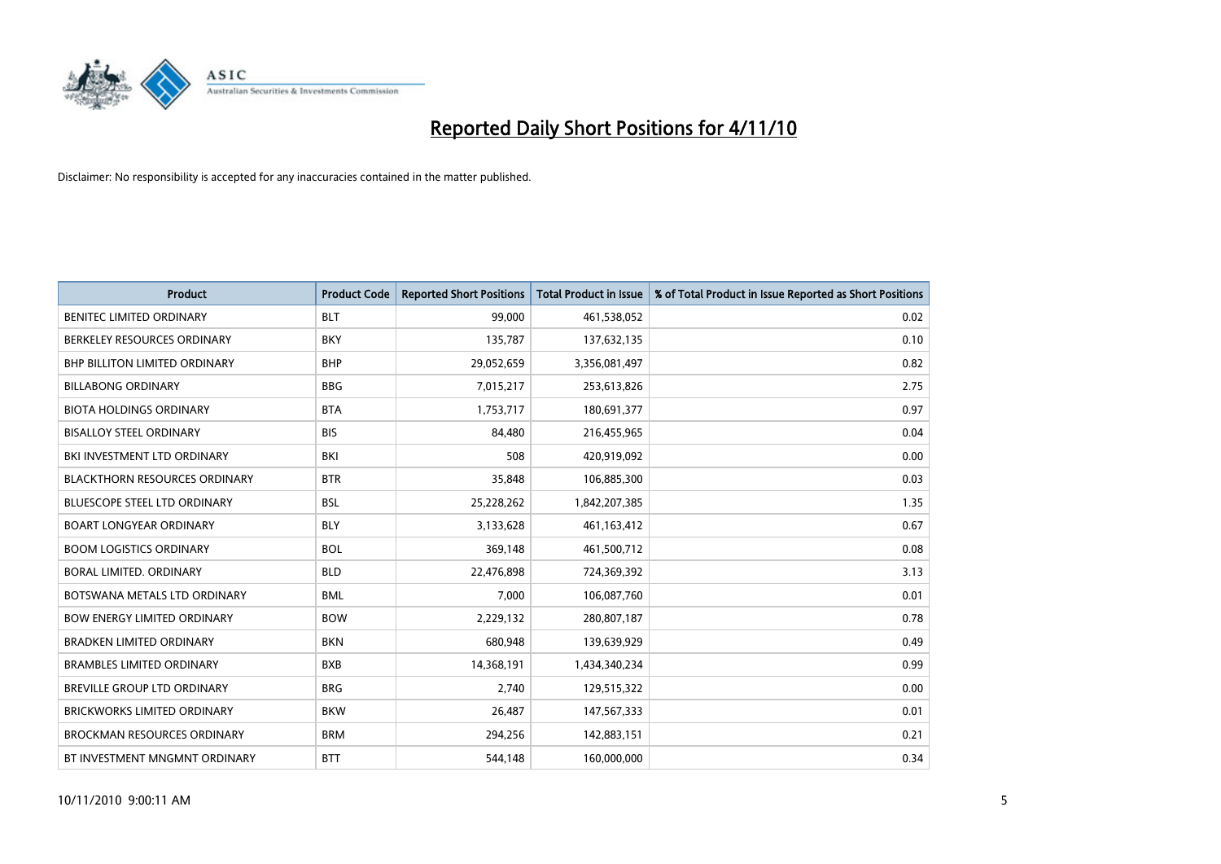

| <b>Product</b>                       | <b>Product Code</b> | <b>Reported Short Positions</b> | <b>Total Product in Issue</b> | % of Total Product in Issue Reported as Short Positions |
|--------------------------------------|---------------------|---------------------------------|-------------------------------|---------------------------------------------------------|
| <b>BENITEC LIMITED ORDINARY</b>      | <b>BLT</b>          | 99,000                          | 461,538,052                   | 0.02                                                    |
| BERKELEY RESOURCES ORDINARY          | <b>BKY</b>          | 135,787                         | 137,632,135                   | 0.10                                                    |
| <b>BHP BILLITON LIMITED ORDINARY</b> | <b>BHP</b>          | 29,052,659                      | 3,356,081,497                 | 0.82                                                    |
| <b>BILLABONG ORDINARY</b>            | <b>BBG</b>          | 7,015,217                       | 253,613,826                   | 2.75                                                    |
| <b>BIOTA HOLDINGS ORDINARY</b>       | <b>BTA</b>          | 1,753,717                       | 180,691,377                   | 0.97                                                    |
| <b>BISALLOY STEEL ORDINARY</b>       | <b>BIS</b>          | 84,480                          | 216,455,965                   | 0.04                                                    |
| BKI INVESTMENT LTD ORDINARY          | <b>BKI</b>          | 508                             | 420,919,092                   | 0.00                                                    |
| <b>BLACKTHORN RESOURCES ORDINARY</b> | <b>BTR</b>          | 35,848                          | 106,885,300                   | 0.03                                                    |
| BLUESCOPE STEEL LTD ORDINARY         | <b>BSL</b>          | 25,228,262                      | 1,842,207,385                 | 1.35                                                    |
| <b>BOART LONGYEAR ORDINARY</b>       | <b>BLY</b>          | 3,133,628                       | 461,163,412                   | 0.67                                                    |
| <b>BOOM LOGISTICS ORDINARY</b>       | <b>BOL</b>          | 369,148                         | 461,500,712                   | 0.08                                                    |
| BORAL LIMITED, ORDINARY              | <b>BLD</b>          | 22,476,898                      | 724,369,392                   | 3.13                                                    |
| BOTSWANA METALS LTD ORDINARY         | <b>BML</b>          | 7,000                           | 106,087,760                   | 0.01                                                    |
| <b>BOW ENERGY LIMITED ORDINARY</b>   | <b>BOW</b>          | 2,229,132                       | 280,807,187                   | 0.78                                                    |
| <b>BRADKEN LIMITED ORDINARY</b>      | <b>BKN</b>          | 680,948                         | 139,639,929                   | 0.49                                                    |
| <b>BRAMBLES LIMITED ORDINARY</b>     | <b>BXB</b>          | 14,368,191                      | 1,434,340,234                 | 0.99                                                    |
| BREVILLE GROUP LTD ORDINARY          | <b>BRG</b>          | 2,740                           | 129,515,322                   | 0.00                                                    |
| <b>BRICKWORKS LIMITED ORDINARY</b>   | <b>BKW</b>          | 26,487                          | 147,567,333                   | 0.01                                                    |
| <b>BROCKMAN RESOURCES ORDINARY</b>   | <b>BRM</b>          | 294,256                         | 142,883,151                   | 0.21                                                    |
| BT INVESTMENT MNGMNT ORDINARY        | <b>BTT</b>          | 544.148                         | 160,000,000                   | 0.34                                                    |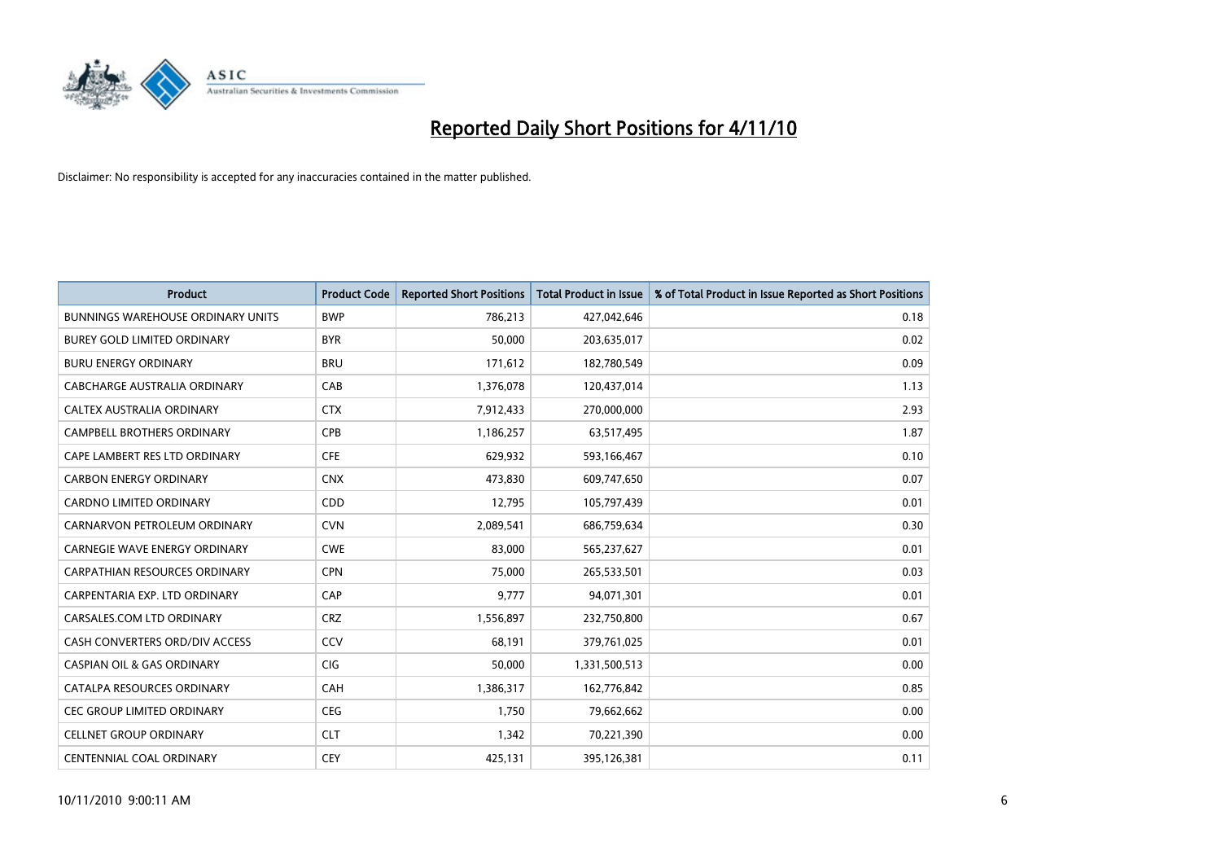

| <b>Product</b>                           | <b>Product Code</b> | <b>Reported Short Positions</b> | Total Product in Issue | % of Total Product in Issue Reported as Short Positions |
|------------------------------------------|---------------------|---------------------------------|------------------------|---------------------------------------------------------|
| <b>BUNNINGS WAREHOUSE ORDINARY UNITS</b> | <b>BWP</b>          | 786,213                         | 427,042,646            | 0.18                                                    |
| BUREY GOLD LIMITED ORDINARY              | <b>BYR</b>          | 50,000                          | 203,635,017            | 0.02                                                    |
| <b>BURU ENERGY ORDINARY</b>              | <b>BRU</b>          | 171,612                         | 182,780,549            | 0.09                                                    |
| CABCHARGE AUSTRALIA ORDINARY             | CAB                 | 1,376,078                       | 120,437,014            | 1.13                                                    |
| CALTEX AUSTRALIA ORDINARY                | <b>CTX</b>          | 7,912,433                       | 270,000,000            | 2.93                                                    |
| <b>CAMPBELL BROTHERS ORDINARY</b>        | CPB                 | 1,186,257                       | 63,517,495             | 1.87                                                    |
| CAPE LAMBERT RES LTD ORDINARY            | <b>CFE</b>          | 629,932                         | 593,166,467            | 0.10                                                    |
| <b>CARBON ENERGY ORDINARY</b>            | <b>CNX</b>          | 473,830                         | 609,747,650            | 0.07                                                    |
| CARDNO LIMITED ORDINARY                  | CDD                 | 12,795                          | 105,797,439            | 0.01                                                    |
| CARNARVON PETROLEUM ORDINARY             | <b>CVN</b>          | 2,089,541                       | 686,759,634            | 0.30                                                    |
| CARNEGIE WAVE ENERGY ORDINARY            | <b>CWE</b>          | 83,000                          | 565,237,627            | 0.01                                                    |
| <b>CARPATHIAN RESOURCES ORDINARY</b>     | <b>CPN</b>          | 75,000                          | 265,533,501            | 0.03                                                    |
| CARPENTARIA EXP. LTD ORDINARY            | CAP                 | 9,777                           | 94,071,301             | 0.01                                                    |
| CARSALES.COM LTD ORDINARY                | <b>CRZ</b>          | 1,556,897                       | 232,750,800            | 0.67                                                    |
| CASH CONVERTERS ORD/DIV ACCESS           | CCV                 | 68,191                          | 379,761,025            | 0.01                                                    |
| <b>CASPIAN OIL &amp; GAS ORDINARY</b>    | CIG                 | 50,000                          | 1,331,500,513          | 0.00                                                    |
| CATALPA RESOURCES ORDINARY               | CAH                 | 1,386,317                       | 162,776,842            | 0.85                                                    |
| CEC GROUP LIMITED ORDINARY               | <b>CEG</b>          | 1,750                           | 79,662,662             | 0.00                                                    |
| <b>CELLNET GROUP ORDINARY</b>            | <b>CLT</b>          | 1,342                           | 70,221,390             | 0.00                                                    |
| CENTENNIAL COAL ORDINARY                 | <b>CEY</b>          | 425,131                         | 395,126,381            | 0.11                                                    |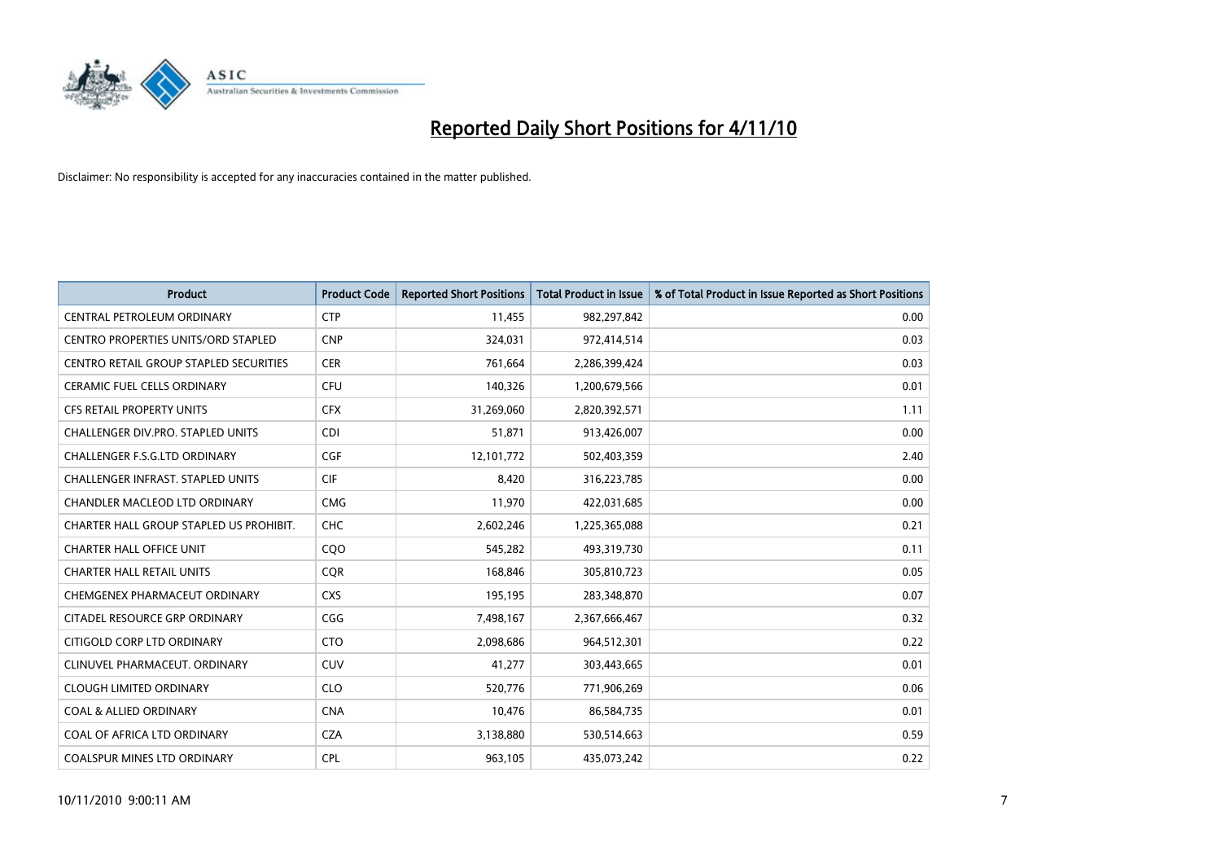

| <b>Product</b>                                | <b>Product Code</b> | <b>Reported Short Positions</b> | Total Product in Issue | % of Total Product in Issue Reported as Short Positions |
|-----------------------------------------------|---------------------|---------------------------------|------------------------|---------------------------------------------------------|
| CENTRAL PETROLEUM ORDINARY                    | <b>CTP</b>          | 11,455                          | 982,297,842            | 0.00                                                    |
| CENTRO PROPERTIES UNITS/ORD STAPLED           | <b>CNP</b>          | 324,031                         | 972,414,514            | 0.03                                                    |
| <b>CENTRO RETAIL GROUP STAPLED SECURITIES</b> | <b>CER</b>          | 761,664                         | 2,286,399,424          | 0.03                                                    |
| CERAMIC FUEL CELLS ORDINARY                   | <b>CFU</b>          | 140,326                         | 1,200,679,566          | 0.01                                                    |
| CFS RETAIL PROPERTY UNITS                     | <b>CFX</b>          | 31,269,060                      | 2,820,392,571          | 1.11                                                    |
| <b>CHALLENGER DIV.PRO. STAPLED UNITS</b>      | <b>CDI</b>          | 51,871                          | 913,426,007            | 0.00                                                    |
| <b>CHALLENGER F.S.G.LTD ORDINARY</b>          | CGF                 | 12,101,772                      | 502,403,359            | 2.40                                                    |
| <b>CHALLENGER INFRAST, STAPLED UNITS</b>      | <b>CIF</b>          | 8,420                           | 316,223,785            | 0.00                                                    |
| CHANDLER MACLEOD LTD ORDINARY                 | <b>CMG</b>          | 11,970                          | 422,031,685            | 0.00                                                    |
| CHARTER HALL GROUP STAPLED US PROHIBIT.       | <b>CHC</b>          | 2,602,246                       | 1,225,365,088          | 0.21                                                    |
| CHARTER HALL OFFICE UNIT                      | CQO                 | 545,282                         | 493,319,730            | 0.11                                                    |
| <b>CHARTER HALL RETAIL UNITS</b>              | <b>COR</b>          | 168,846                         | 305,810,723            | 0.05                                                    |
| CHEMGENEX PHARMACEUT ORDINARY                 | <b>CXS</b>          | 195,195                         | 283,348,870            | 0.07                                                    |
| CITADEL RESOURCE GRP ORDINARY                 | CGG                 | 7,498,167                       | 2,367,666,467          | 0.32                                                    |
| CITIGOLD CORP LTD ORDINARY                    | <b>CTO</b>          | 2,098,686                       | 964,512,301            | 0.22                                                    |
| CLINUVEL PHARMACEUT. ORDINARY                 | <b>CUV</b>          | 41,277                          | 303,443,665            | 0.01                                                    |
| <b>CLOUGH LIMITED ORDINARY</b>                | <b>CLO</b>          | 520,776                         | 771,906,269            | 0.06                                                    |
| <b>COAL &amp; ALLIED ORDINARY</b>             | <b>CNA</b>          | 10,476                          | 86,584,735             | 0.01                                                    |
| COAL OF AFRICA LTD ORDINARY                   | <b>CZA</b>          | 3,138,880                       | 530,514,663            | 0.59                                                    |
| <b>COALSPUR MINES LTD ORDINARY</b>            | <b>CPL</b>          | 963.105                         | 435,073,242            | 0.22                                                    |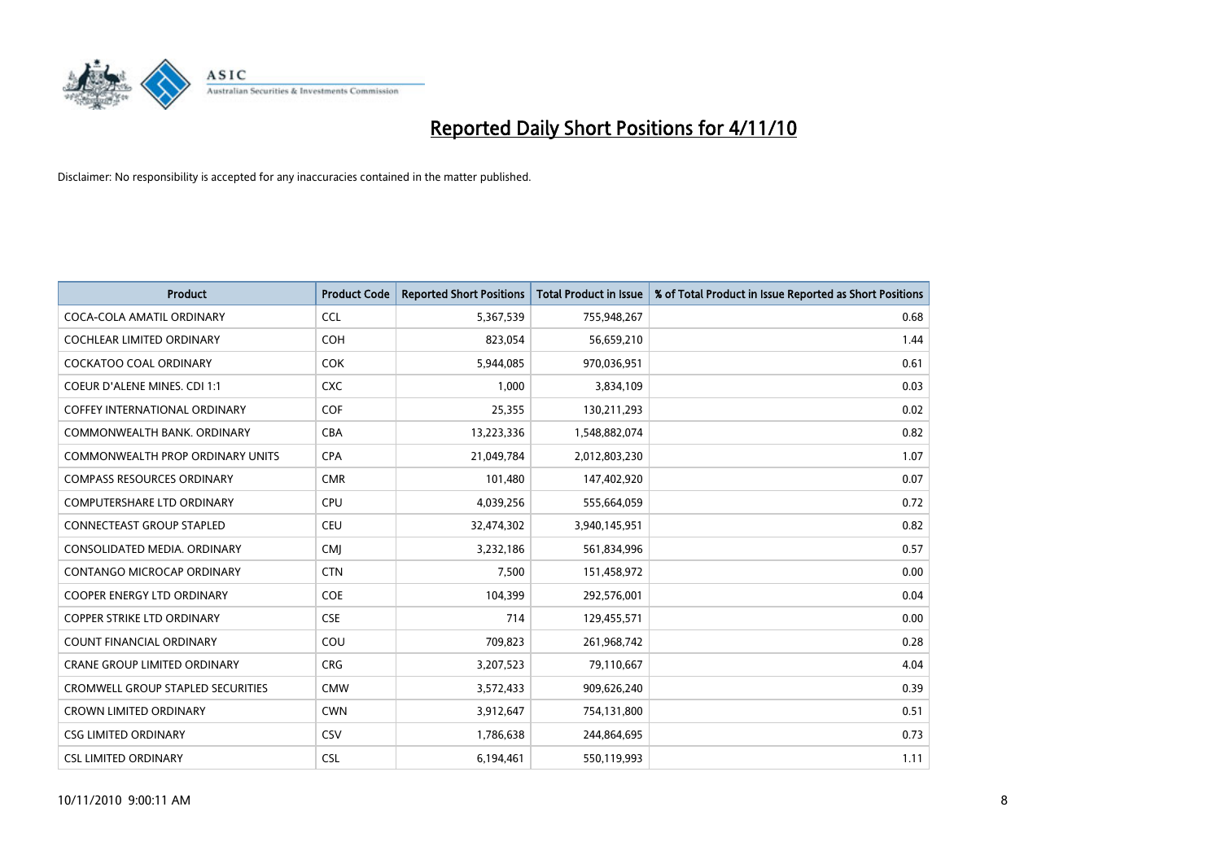

| <b>Product</b>                       | <b>Product Code</b> | <b>Reported Short Positions</b> | <b>Total Product in Issue</b> | % of Total Product in Issue Reported as Short Positions |
|--------------------------------------|---------------------|---------------------------------|-------------------------------|---------------------------------------------------------|
| COCA-COLA AMATIL ORDINARY            | <b>CCL</b>          | 5,367,539                       | 755,948,267                   | 0.68                                                    |
| COCHLEAR LIMITED ORDINARY            | <b>COH</b>          | 823,054                         | 56,659,210                    | 1.44                                                    |
| <b>COCKATOO COAL ORDINARY</b>        | <b>COK</b>          | 5,944,085                       | 970,036,951                   | 0.61                                                    |
| COEUR D'ALENE MINES. CDI 1:1         | <b>CXC</b>          | 1,000                           | 3,834,109                     | 0.03                                                    |
| <b>COFFEY INTERNATIONAL ORDINARY</b> | <b>COF</b>          | 25,355                          | 130,211,293                   | 0.02                                                    |
| COMMONWEALTH BANK, ORDINARY          | <b>CBA</b>          | 13,223,336                      | 1,548,882,074                 | 0.82                                                    |
| COMMONWEALTH PROP ORDINARY UNITS     | <b>CPA</b>          | 21,049,784                      | 2,012,803,230                 | 1.07                                                    |
| <b>COMPASS RESOURCES ORDINARY</b>    | <b>CMR</b>          | 101,480                         | 147,402,920                   | 0.07                                                    |
| <b>COMPUTERSHARE LTD ORDINARY</b>    | CPU                 | 4,039,256                       | 555,664,059                   | 0.72                                                    |
| <b>CONNECTEAST GROUP STAPLED</b>     | CEU                 | 32,474,302                      | 3,940,145,951                 | 0.82                                                    |
| CONSOLIDATED MEDIA. ORDINARY         | <b>CMI</b>          | 3,232,186                       | 561,834,996                   | 0.57                                                    |
| CONTANGO MICROCAP ORDINARY           | <b>CTN</b>          | 7,500                           | 151,458,972                   | 0.00                                                    |
| COOPER ENERGY LTD ORDINARY           | <b>COE</b>          | 104,399                         | 292,576,001                   | 0.04                                                    |
| <b>COPPER STRIKE LTD ORDINARY</b>    | <b>CSE</b>          | 714                             | 129,455,571                   | 0.00                                                    |
| <b>COUNT FINANCIAL ORDINARY</b>      | COU                 | 709,823                         | 261,968,742                   | 0.28                                                    |
| <b>CRANE GROUP LIMITED ORDINARY</b>  | <b>CRG</b>          | 3,207,523                       | 79,110,667                    | 4.04                                                    |
| CROMWELL GROUP STAPLED SECURITIES    | <b>CMW</b>          | 3,572,433                       | 909,626,240                   | 0.39                                                    |
| <b>CROWN LIMITED ORDINARY</b>        | <b>CWN</b>          | 3,912,647                       | 754,131,800                   | 0.51                                                    |
| <b>CSG LIMITED ORDINARY</b>          | CSV                 | 1,786,638                       | 244,864,695                   | 0.73                                                    |
| <b>CSL LIMITED ORDINARY</b>          | <b>CSL</b>          | 6,194,461                       | 550,119,993                   | 1.11                                                    |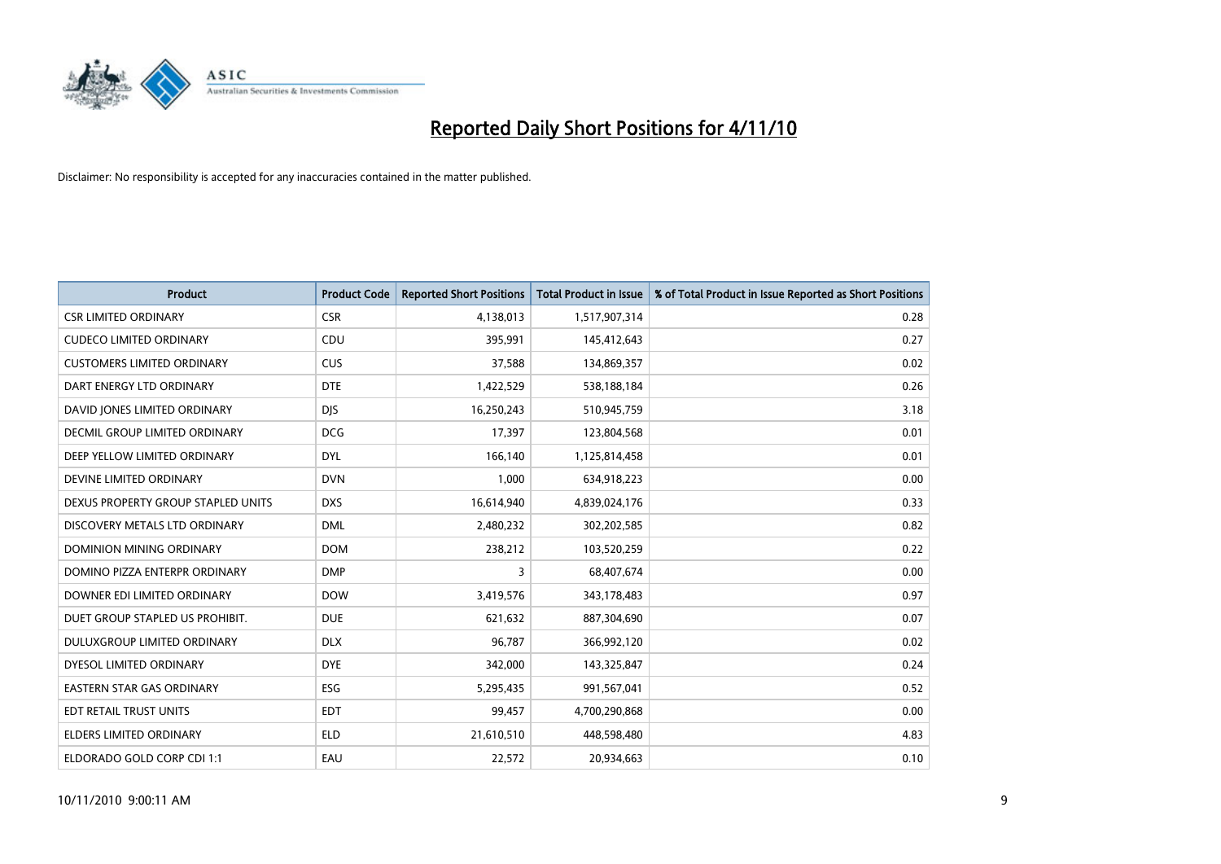

| <b>Product</b>                     | <b>Product Code</b> | <b>Reported Short Positions</b> | <b>Total Product in Issue</b> | % of Total Product in Issue Reported as Short Positions |
|------------------------------------|---------------------|---------------------------------|-------------------------------|---------------------------------------------------------|
| <b>CSR LIMITED ORDINARY</b>        | <b>CSR</b>          | 4,138,013                       | 1,517,907,314                 | 0.28                                                    |
| <b>CUDECO LIMITED ORDINARY</b>     | CDU                 | 395,991                         | 145,412,643                   | 0.27                                                    |
| <b>CUSTOMERS LIMITED ORDINARY</b>  | <b>CUS</b>          | 37,588                          | 134,869,357                   | 0.02                                                    |
| DART ENERGY LTD ORDINARY           | <b>DTE</b>          | 1,422,529                       | 538,188,184                   | 0.26                                                    |
| DAVID JONES LIMITED ORDINARY       | <b>DIS</b>          | 16,250,243                      | 510,945,759                   | 3.18                                                    |
| DECMIL GROUP LIMITED ORDINARY      | <b>DCG</b>          | 17,397                          | 123,804,568                   | 0.01                                                    |
| DEEP YELLOW LIMITED ORDINARY       | <b>DYL</b>          | 166,140                         | 1,125,814,458                 | 0.01                                                    |
| DEVINE LIMITED ORDINARY            | <b>DVN</b>          | 1,000                           | 634,918,223                   | 0.00                                                    |
| DEXUS PROPERTY GROUP STAPLED UNITS | <b>DXS</b>          | 16,614,940                      | 4,839,024,176                 | 0.33                                                    |
| DISCOVERY METALS LTD ORDINARY      | <b>DML</b>          | 2,480,232                       | 302,202,585                   | 0.82                                                    |
| <b>DOMINION MINING ORDINARY</b>    | <b>DOM</b>          | 238,212                         | 103,520,259                   | 0.22                                                    |
| DOMINO PIZZA ENTERPR ORDINARY      | <b>DMP</b>          | 3                               | 68,407,674                    | 0.00                                                    |
| DOWNER EDI LIMITED ORDINARY        | <b>DOW</b>          | 3,419,576                       | 343,178,483                   | 0.97                                                    |
| DUET GROUP STAPLED US PROHIBIT.    | <b>DUE</b>          | 621,632                         | 887,304,690                   | 0.07                                                    |
| DULUXGROUP LIMITED ORDINARY        | <b>DLX</b>          | 96,787                          | 366,992,120                   | 0.02                                                    |
| DYESOL LIMITED ORDINARY            | <b>DYE</b>          | 342,000                         | 143,325,847                   | 0.24                                                    |
| <b>EASTERN STAR GAS ORDINARY</b>   | ESG                 | 5,295,435                       | 991,567,041                   | 0.52                                                    |
| EDT RETAIL TRUST UNITS             | <b>EDT</b>          | 99,457                          | 4,700,290,868                 | 0.00                                                    |
| ELDERS LIMITED ORDINARY            | <b>ELD</b>          | 21,610,510                      | 448,598,480                   | 4.83                                                    |
| ELDORADO GOLD CORP CDI 1:1         | EAU                 | 22,572                          | 20,934,663                    | 0.10                                                    |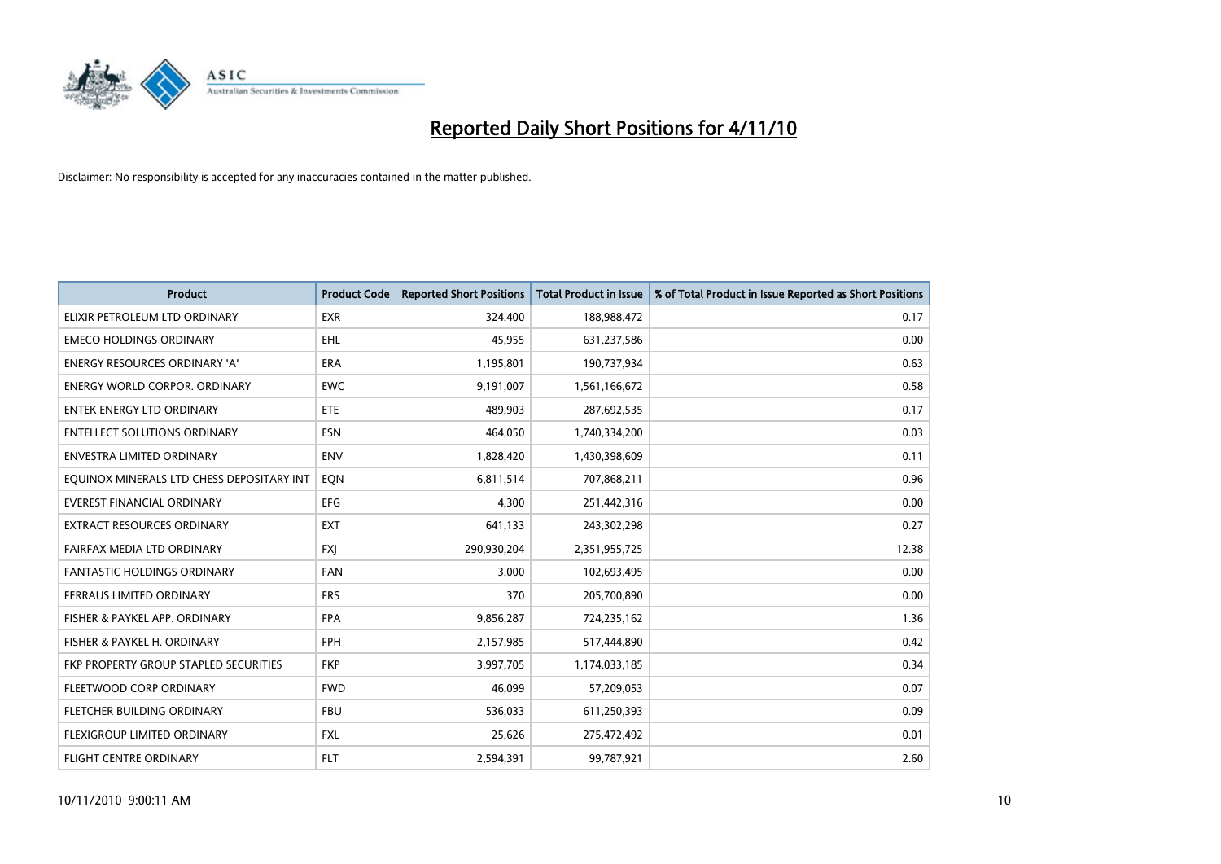

| <b>Product</b>                            | <b>Product Code</b> | <b>Reported Short Positions</b> | Total Product in Issue | % of Total Product in Issue Reported as Short Positions |
|-------------------------------------------|---------------------|---------------------------------|------------------------|---------------------------------------------------------|
| ELIXIR PETROLEUM LTD ORDINARY             | <b>EXR</b>          | 324,400                         | 188,988,472            | 0.17                                                    |
| <b>EMECO HOLDINGS ORDINARY</b>            | <b>EHL</b>          | 45,955                          | 631,237,586            | 0.00                                                    |
| <b>ENERGY RESOURCES ORDINARY 'A'</b>      | <b>ERA</b>          | 1,195,801                       | 190,737,934            | 0.63                                                    |
| ENERGY WORLD CORPOR. ORDINARY             | <b>EWC</b>          | 9,191,007                       | 1,561,166,672          | 0.58                                                    |
| <b>ENTEK ENERGY LTD ORDINARY</b>          | <b>ETE</b>          | 489,903                         | 287,692,535            | 0.17                                                    |
| <b>ENTELLECT SOLUTIONS ORDINARY</b>       | <b>ESN</b>          | 464.050                         | 1,740,334,200          | 0.03                                                    |
| ENVESTRA LIMITED ORDINARY                 | <b>ENV</b>          | 1,828,420                       | 1,430,398,609          | 0.11                                                    |
| EQUINOX MINERALS LTD CHESS DEPOSITARY INT | EON                 | 6,811,514                       | 707,868,211            | 0.96                                                    |
| <b>EVEREST FINANCIAL ORDINARY</b>         | <b>EFG</b>          | 4,300                           | 251,442,316            | 0.00                                                    |
| <b>EXTRACT RESOURCES ORDINARY</b>         | <b>EXT</b>          | 641,133                         | 243,302,298            | 0.27                                                    |
| FAIRFAX MEDIA LTD ORDINARY                | <b>FXI</b>          | 290,930,204                     | 2,351,955,725          | 12.38                                                   |
| <b>FANTASTIC HOLDINGS ORDINARY</b>        | <b>FAN</b>          | 3,000                           | 102,693,495            | 0.00                                                    |
| FERRAUS LIMITED ORDINARY                  | <b>FRS</b>          | 370                             | 205,700,890            | 0.00                                                    |
| FISHER & PAYKEL APP. ORDINARY             | <b>FPA</b>          | 9,856,287                       | 724,235,162            | 1.36                                                    |
| FISHER & PAYKEL H. ORDINARY               | <b>FPH</b>          | 2,157,985                       | 517,444,890            | 0.42                                                    |
| FKP PROPERTY GROUP STAPLED SECURITIES     | <b>FKP</b>          | 3,997,705                       | 1,174,033,185          | 0.34                                                    |
| FLEETWOOD CORP ORDINARY                   | <b>FWD</b>          | 46,099                          | 57,209,053             | 0.07                                                    |
| FLETCHER BUILDING ORDINARY                | <b>FBU</b>          | 536,033                         | 611,250,393            | 0.09                                                    |
| FLEXIGROUP LIMITED ORDINARY               | <b>FXL</b>          | 25,626                          | 275,472,492            | 0.01                                                    |
| FLIGHT CENTRE ORDINARY                    | <b>FLT</b>          | 2,594,391                       | 99,787,921             | 2.60                                                    |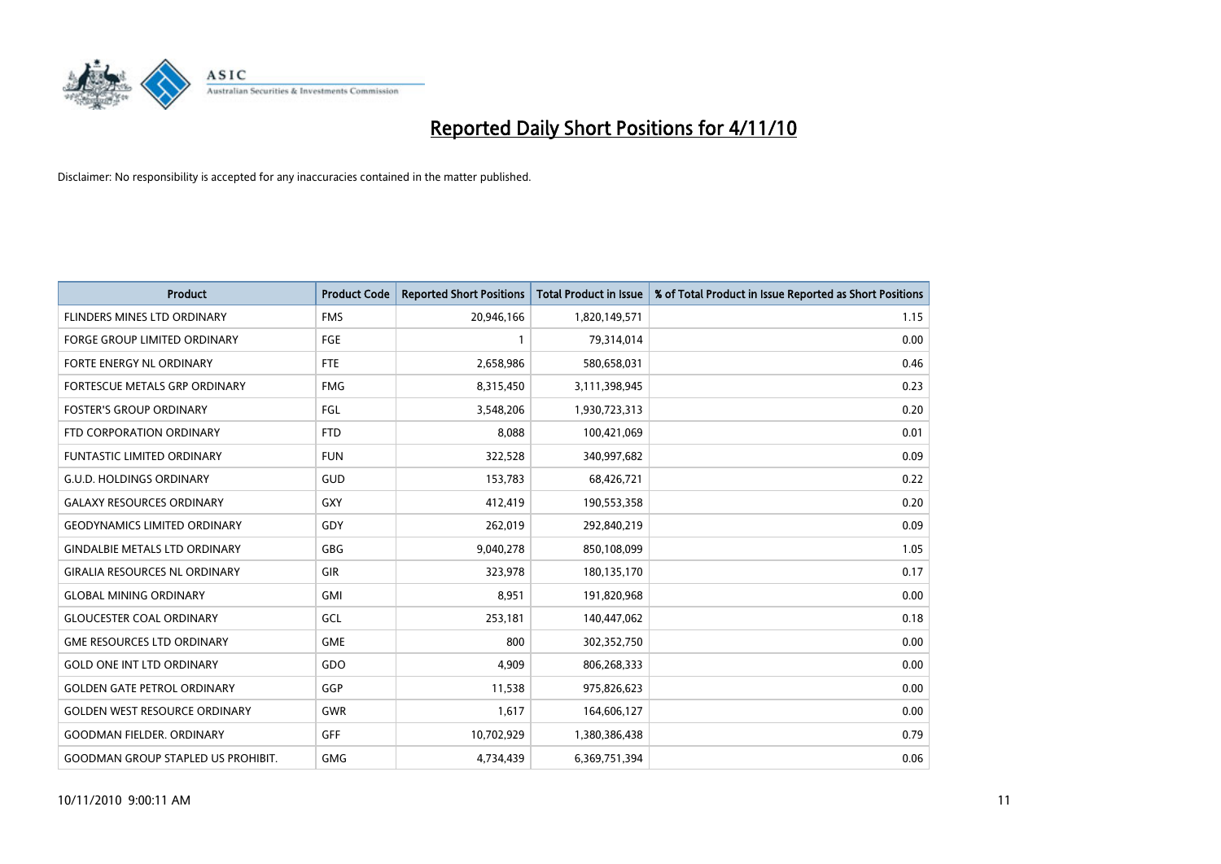

| <b>Product</b>                            | <b>Product Code</b> | <b>Reported Short Positions</b> | Total Product in Issue | % of Total Product in Issue Reported as Short Positions |
|-------------------------------------------|---------------------|---------------------------------|------------------------|---------------------------------------------------------|
| <b>FLINDERS MINES LTD ORDINARY</b>        | <b>FMS</b>          | 20,946,166                      | 1,820,149,571          | 1.15                                                    |
| FORGE GROUP LIMITED ORDINARY              | FGE                 |                                 | 79,314,014             | 0.00                                                    |
| FORTE ENERGY NL ORDINARY                  | <b>FTE</b>          | 2,658,986                       | 580,658,031            | 0.46                                                    |
| FORTESCUE METALS GRP ORDINARY             | <b>FMG</b>          | 8,315,450                       | 3,111,398,945          | 0.23                                                    |
| <b>FOSTER'S GROUP ORDINARY</b>            | FGL                 | 3,548,206                       | 1,930,723,313          | 0.20                                                    |
| FTD CORPORATION ORDINARY                  | <b>FTD</b>          | 8,088                           | 100,421,069            | 0.01                                                    |
| <b>FUNTASTIC LIMITED ORDINARY</b>         | <b>FUN</b>          | 322,528                         | 340,997,682            | 0.09                                                    |
| <b>G.U.D. HOLDINGS ORDINARY</b>           | GUD                 | 153,783                         | 68,426,721             | 0.22                                                    |
| <b>GALAXY RESOURCES ORDINARY</b>          | <b>GXY</b>          | 412,419                         | 190,553,358            | 0.20                                                    |
| <b>GEODYNAMICS LIMITED ORDINARY</b>       | GDY                 | 262,019                         | 292,840,219            | 0.09                                                    |
| <b>GINDALBIE METALS LTD ORDINARY</b>      | <b>GBG</b>          | 9,040,278                       | 850,108,099            | 1.05                                                    |
| <b>GIRALIA RESOURCES NL ORDINARY</b>      | GIR                 | 323,978                         | 180,135,170            | 0.17                                                    |
| <b>GLOBAL MINING ORDINARY</b>             | <b>GMI</b>          | 8,951                           | 191,820,968            | 0.00                                                    |
| <b>GLOUCESTER COAL ORDINARY</b>           | GCL                 | 253,181                         | 140,447,062            | 0.18                                                    |
| <b>GME RESOURCES LTD ORDINARY</b>         | <b>GME</b>          | 800                             | 302,352,750            | 0.00                                                    |
| <b>GOLD ONE INT LTD ORDINARY</b>          | GDO                 | 4,909                           | 806,268,333            | 0.00                                                    |
| <b>GOLDEN GATE PETROL ORDINARY</b>        | GGP                 | 11,538                          | 975,826,623            | 0.00                                                    |
| <b>GOLDEN WEST RESOURCE ORDINARY</b>      | <b>GWR</b>          | 1,617                           | 164,606,127            | 0.00                                                    |
| <b>GOODMAN FIELDER, ORDINARY</b>          | <b>GFF</b>          | 10,702,929                      | 1,380,386,438          | 0.79                                                    |
| <b>GOODMAN GROUP STAPLED US PROHIBIT.</b> | <b>GMG</b>          | 4,734,439                       | 6,369,751,394          | 0.06                                                    |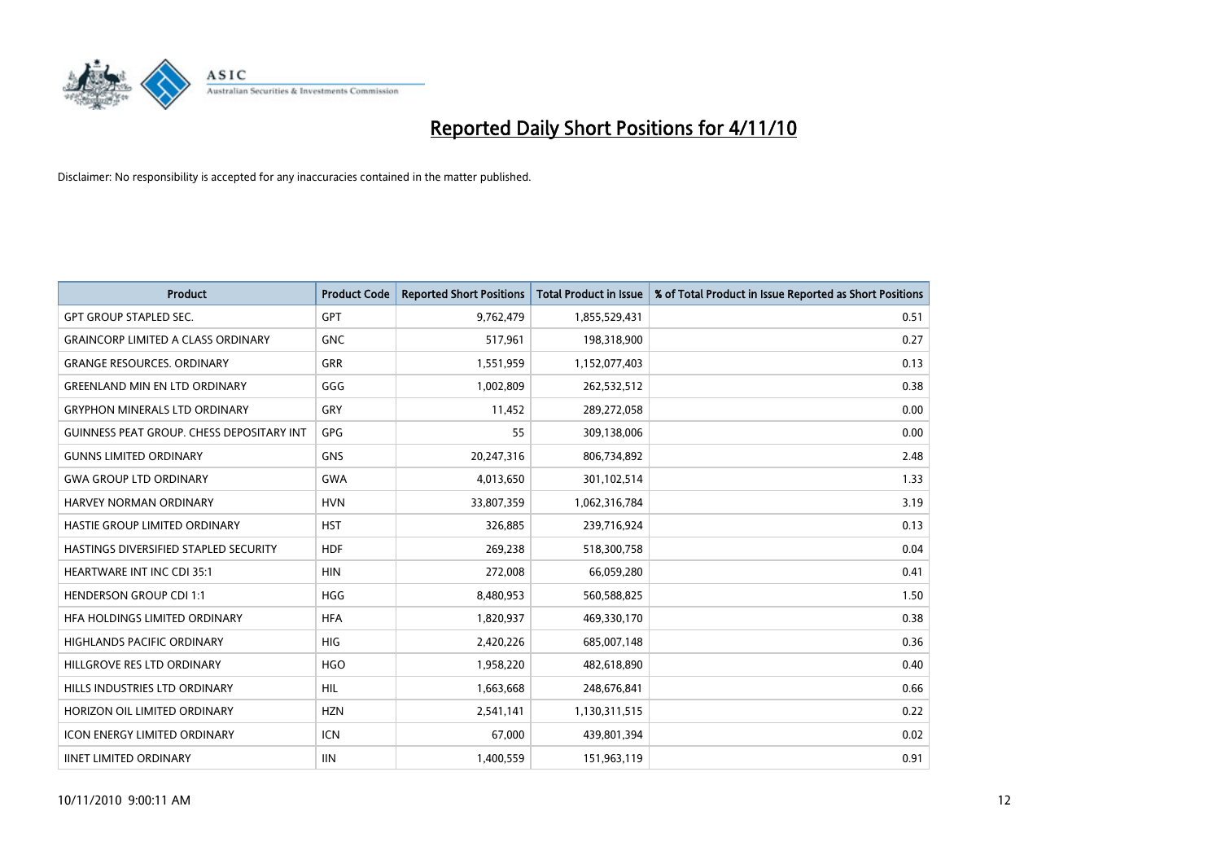

| <b>Product</b>                            | <b>Product Code</b> | <b>Reported Short Positions</b> | <b>Total Product in Issue</b> | % of Total Product in Issue Reported as Short Positions |
|-------------------------------------------|---------------------|---------------------------------|-------------------------------|---------------------------------------------------------|
| <b>GPT GROUP STAPLED SEC.</b>             | <b>GPT</b>          | 9,762,479                       | 1,855,529,431                 | 0.51                                                    |
| <b>GRAINCORP LIMITED A CLASS ORDINARY</b> | <b>GNC</b>          | 517,961                         | 198,318,900                   | 0.27                                                    |
| <b>GRANGE RESOURCES, ORDINARY</b>         | <b>GRR</b>          | 1,551,959                       | 1,152,077,403                 | 0.13                                                    |
| <b>GREENLAND MIN EN LTD ORDINARY</b>      | GGG                 | 1,002,809                       | 262,532,512                   | 0.38                                                    |
| <b>GRYPHON MINERALS LTD ORDINARY</b>      | GRY                 | 11,452                          | 289,272,058                   | 0.00                                                    |
| GUINNESS PEAT GROUP. CHESS DEPOSITARY INT | GPG                 | 55                              | 309,138,006                   | 0.00                                                    |
| <b>GUNNS LIMITED ORDINARY</b>             | <b>GNS</b>          | 20,247,316                      | 806,734,892                   | 2.48                                                    |
| <b>GWA GROUP LTD ORDINARY</b>             | <b>GWA</b>          | 4,013,650                       | 301,102,514                   | 1.33                                                    |
| HARVEY NORMAN ORDINARY                    | <b>HVN</b>          | 33,807,359                      | 1,062,316,784                 | 3.19                                                    |
| HASTIE GROUP LIMITED ORDINARY             | <b>HST</b>          | 326,885                         | 239,716,924                   | 0.13                                                    |
| HASTINGS DIVERSIFIED STAPLED SECURITY     | <b>HDF</b>          | 269,238                         | 518,300,758                   | 0.04                                                    |
| <b>HEARTWARE INT INC CDI 35:1</b>         | <b>HIN</b>          | 272,008                         | 66,059,280                    | 0.41                                                    |
| <b>HENDERSON GROUP CDI 1:1</b>            | <b>HGG</b>          | 8,480,953                       | 560,588,825                   | 1.50                                                    |
| HFA HOLDINGS LIMITED ORDINARY             | <b>HFA</b>          | 1,820,937                       | 469,330,170                   | 0.38                                                    |
| <b>HIGHLANDS PACIFIC ORDINARY</b>         | <b>HIG</b>          | 2,420,226                       | 685,007,148                   | 0.36                                                    |
| HILLGROVE RES LTD ORDINARY                | <b>HGO</b>          | 1,958,220                       | 482,618,890                   | 0.40                                                    |
| HILLS INDUSTRIES LTD ORDINARY             | <b>HIL</b>          | 1,663,668                       | 248,676,841                   | 0.66                                                    |
| HORIZON OIL LIMITED ORDINARY              | <b>HZN</b>          | 2,541,141                       | 1,130,311,515                 | 0.22                                                    |
| <b>ICON ENERGY LIMITED ORDINARY</b>       | <b>ICN</b>          | 67,000                          | 439,801,394                   | 0.02                                                    |
| <b>IINET LIMITED ORDINARY</b>             | <b>IIN</b>          | 1,400,559                       | 151,963,119                   | 0.91                                                    |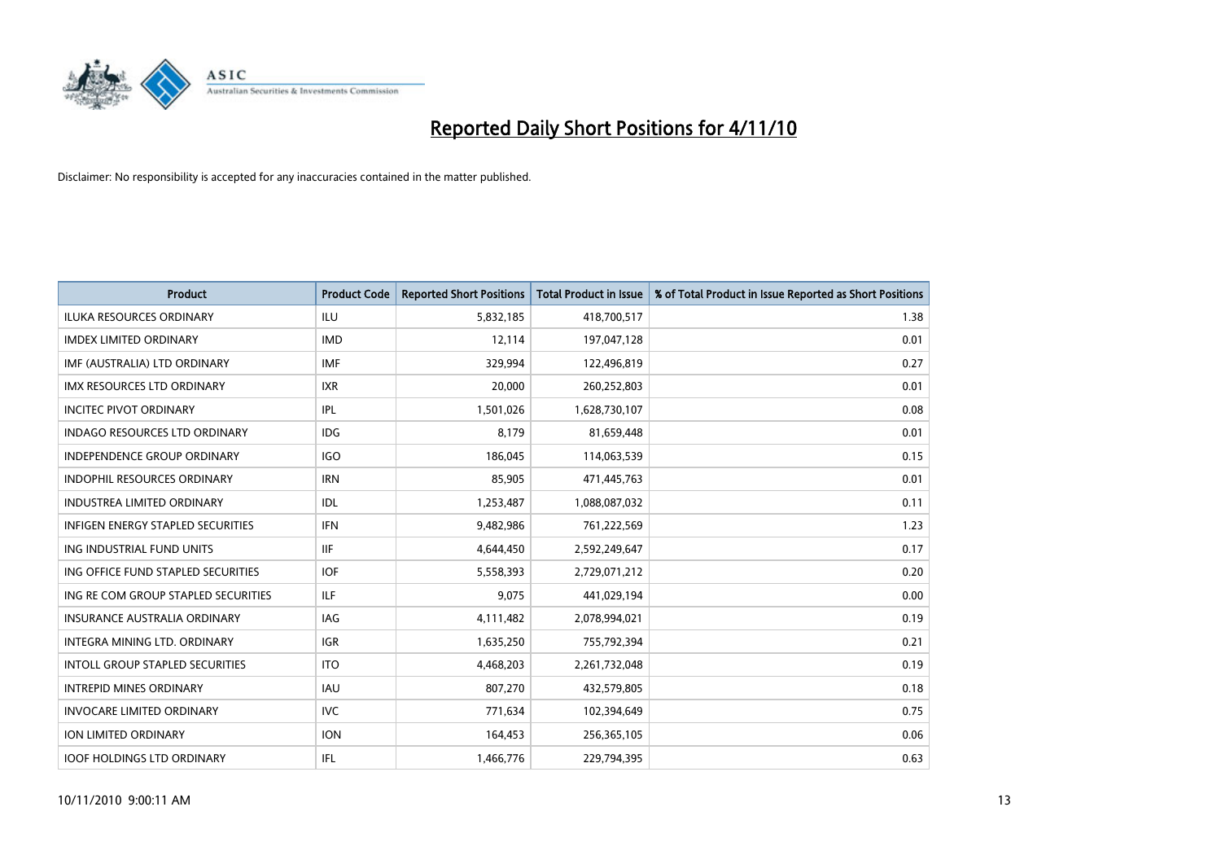

| <b>Product</b>                       | <b>Product Code</b> | <b>Reported Short Positions</b> | <b>Total Product in Issue</b> | % of Total Product in Issue Reported as Short Positions |
|--------------------------------------|---------------------|---------------------------------|-------------------------------|---------------------------------------------------------|
| <b>ILUKA RESOURCES ORDINARY</b>      | <b>ILU</b>          | 5,832,185                       | 418,700,517                   | 1.38                                                    |
| <b>IMDEX LIMITED ORDINARY</b>        | <b>IMD</b>          | 12,114                          | 197,047,128                   | 0.01                                                    |
| IMF (AUSTRALIA) LTD ORDINARY         | <b>IMF</b>          | 329,994                         | 122,496,819                   | 0.27                                                    |
| IMX RESOURCES LTD ORDINARY           | <b>IXR</b>          | 20,000                          | 260,252,803                   | 0.01                                                    |
| <b>INCITEC PIVOT ORDINARY</b>        | IPL                 | 1,501,026                       | 1,628,730,107                 | 0.08                                                    |
| <b>INDAGO RESOURCES LTD ORDINARY</b> | IDG                 | 8,179                           | 81,659,448                    | 0.01                                                    |
| <b>INDEPENDENCE GROUP ORDINARY</b>   | <b>IGO</b>          | 186,045                         | 114,063,539                   | 0.15                                                    |
| <b>INDOPHIL RESOURCES ORDINARY</b>   | <b>IRN</b>          | 85,905                          | 471,445,763                   | 0.01                                                    |
| INDUSTREA LIMITED ORDINARY           | IDL                 | 1,253,487                       | 1,088,087,032                 | 0.11                                                    |
| INFIGEN ENERGY STAPLED SECURITIES    | <b>IFN</b>          | 9,482,986                       | 761,222,569                   | 1.23                                                    |
| ING INDUSTRIAL FUND UNITS            | <b>IIF</b>          | 4,644,450                       | 2,592,249,647                 | 0.17                                                    |
| ING OFFICE FUND STAPLED SECURITIES   | <b>IOF</b>          | 5,558,393                       | 2,729,071,212                 | 0.20                                                    |
| ING RE COM GROUP STAPLED SECURITIES  | <b>ILF</b>          | 9,075                           | 441,029,194                   | 0.00                                                    |
| <b>INSURANCE AUSTRALIA ORDINARY</b>  | IAG                 | 4,111,482                       | 2,078,994,021                 | 0.19                                                    |
| <b>INTEGRA MINING LTD, ORDINARY</b>  | <b>IGR</b>          | 1,635,250                       | 755,792,394                   | 0.21                                                    |
| INTOLL GROUP STAPLED SECURITIES      | <b>ITO</b>          | 4,468,203                       | 2,261,732,048                 | 0.19                                                    |
| <b>INTREPID MINES ORDINARY</b>       | <b>IAU</b>          | 807,270                         | 432,579,805                   | 0.18                                                    |
| <b>INVOCARE LIMITED ORDINARY</b>     | <b>IVC</b>          | 771,634                         | 102,394,649                   | 0.75                                                    |
| ION LIMITED ORDINARY                 | <b>ION</b>          | 164,453                         | 256,365,105                   | 0.06                                                    |
| <b>IOOF HOLDINGS LTD ORDINARY</b>    | <b>IFL</b>          | 1,466,776                       | 229,794,395                   | 0.63                                                    |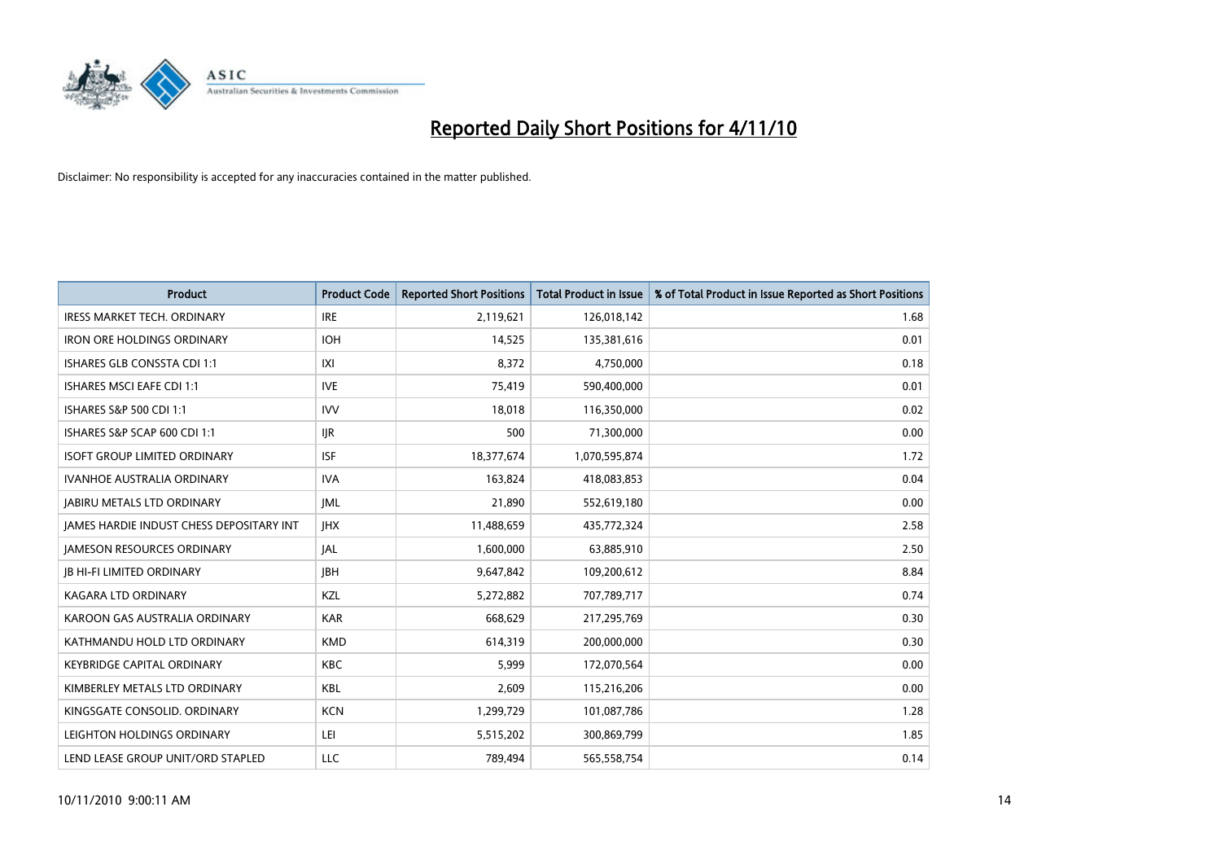

| <b>Product</b>                                  | <b>Product Code</b> | <b>Reported Short Positions</b> | <b>Total Product in Issue</b> | % of Total Product in Issue Reported as Short Positions |
|-------------------------------------------------|---------------------|---------------------------------|-------------------------------|---------------------------------------------------------|
| <b>IRESS MARKET TECH. ORDINARY</b>              | <b>IRE</b>          | 2,119,621                       | 126,018,142                   | 1.68                                                    |
| <b>IRON ORE HOLDINGS ORDINARY</b>               | <b>IOH</b>          | 14,525                          | 135,381,616                   | 0.01                                                    |
| <b>ISHARES GLB CONSSTA CDI 1:1</b>              | X                   | 8,372                           | 4,750,000                     | 0.18                                                    |
| ISHARES MSCI EAFE CDI 1:1                       | <b>IVE</b>          | 75,419                          | 590,400,000                   | 0.01                                                    |
| ISHARES S&P 500 CDI 1:1                         | <b>IVV</b>          | 18,018                          | 116,350,000                   | 0.02                                                    |
| ISHARES S&P SCAP 600 CDI 1:1                    | <b>IJR</b>          | 500                             | 71,300,000                    | 0.00                                                    |
| <b>ISOFT GROUP LIMITED ORDINARY</b>             | <b>ISF</b>          | 18,377,674                      | 1,070,595,874                 | 1.72                                                    |
| <b>IVANHOE AUSTRALIA ORDINARY</b>               | <b>IVA</b>          | 163,824                         | 418,083,853                   | 0.04                                                    |
| <b>JABIRU METALS LTD ORDINARY</b>               | <b>JML</b>          | 21,890                          | 552,619,180                   | 0.00                                                    |
| <b>IAMES HARDIE INDUST CHESS DEPOSITARY INT</b> | <b>IHX</b>          | 11,488,659                      | 435,772,324                   | 2.58                                                    |
| <b>JAMESON RESOURCES ORDINARY</b>               | <b>JAL</b>          | 1,600,000                       | 63,885,910                    | 2.50                                                    |
| <b>JB HI-FI LIMITED ORDINARY</b>                | <b>IBH</b>          | 9,647,842                       | 109,200,612                   | 8.84                                                    |
| <b>KAGARA LTD ORDINARY</b>                      | KZL                 | 5,272,882                       | 707,789,717                   | 0.74                                                    |
| KAROON GAS AUSTRALIA ORDINARY                   | <b>KAR</b>          | 668.629                         | 217,295,769                   | 0.30                                                    |
| KATHMANDU HOLD LTD ORDINARY                     | <b>KMD</b>          | 614,319                         | 200,000,000                   | 0.30                                                    |
| <b>KEYBRIDGE CAPITAL ORDINARY</b>               | <b>KBC</b>          | 5,999                           | 172,070,564                   | 0.00                                                    |
| KIMBERLEY METALS LTD ORDINARY                   | <b>KBL</b>          | 2,609                           | 115,216,206                   | 0.00                                                    |
| KINGSGATE CONSOLID. ORDINARY                    | <b>KCN</b>          | 1,299,729                       | 101,087,786                   | 1.28                                                    |
| LEIGHTON HOLDINGS ORDINARY                      | LEI                 | 5,515,202                       | 300,869,799                   | 1.85                                                    |
| LEND LEASE GROUP UNIT/ORD STAPLED               | <b>LLC</b>          | 789.494                         | 565,558,754                   | 0.14                                                    |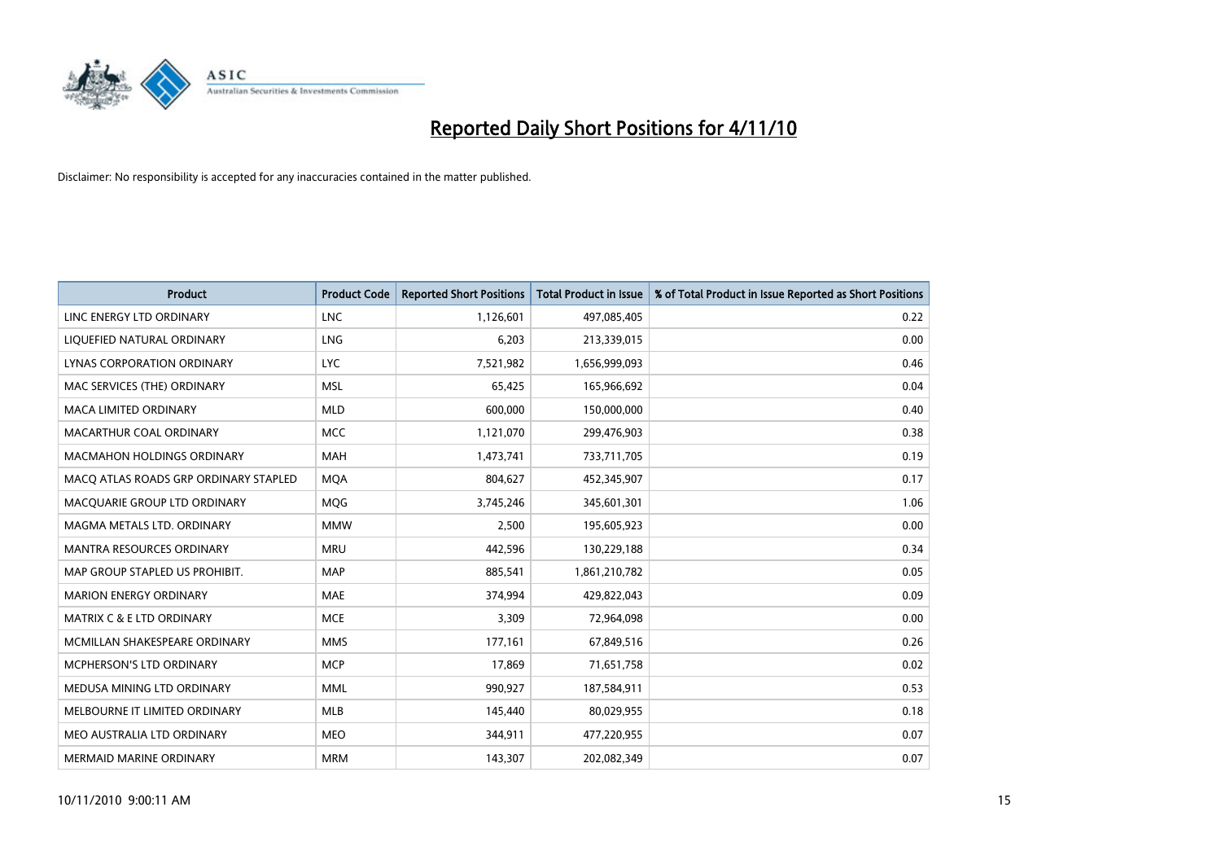

| <b>Product</b>                        | <b>Product Code</b> | <b>Reported Short Positions</b> | <b>Total Product in Issue</b> | % of Total Product in Issue Reported as Short Positions |
|---------------------------------------|---------------------|---------------------------------|-------------------------------|---------------------------------------------------------|
| LINC ENERGY LTD ORDINARY              | <b>LNC</b>          | 1,126,601                       | 497,085,405                   | 0.22                                                    |
| LIQUEFIED NATURAL ORDINARY            | LNG                 | 6,203                           | 213,339,015                   | 0.00                                                    |
| LYNAS CORPORATION ORDINARY            | <b>LYC</b>          | 7,521,982                       | 1,656,999,093                 | 0.46                                                    |
| MAC SERVICES (THE) ORDINARY           | <b>MSL</b>          | 65,425                          | 165,966,692                   | 0.04                                                    |
| <b>MACA LIMITED ORDINARY</b>          | <b>MLD</b>          | 600,000                         | 150,000,000                   | 0.40                                                    |
| MACARTHUR COAL ORDINARY               | <b>MCC</b>          | 1,121,070                       | 299,476,903                   | 0.38                                                    |
| <b>MACMAHON HOLDINGS ORDINARY</b>     | <b>MAH</b>          | 1,473,741                       | 733,711,705                   | 0.19                                                    |
| MACQ ATLAS ROADS GRP ORDINARY STAPLED | <b>MOA</b>          | 804,627                         | 452,345,907                   | 0.17                                                    |
| MACQUARIE GROUP LTD ORDINARY          | <b>MOG</b>          | 3,745,246                       | 345,601,301                   | 1.06                                                    |
| MAGMA METALS LTD. ORDINARY            | <b>MMW</b>          | 2,500                           | 195,605,923                   | 0.00                                                    |
| MANTRA RESOURCES ORDINARY             | <b>MRU</b>          | 442,596                         | 130,229,188                   | 0.34                                                    |
| MAP GROUP STAPLED US PROHIBIT.        | <b>MAP</b>          | 885,541                         | 1,861,210,782                 | 0.05                                                    |
| <b>MARION ENERGY ORDINARY</b>         | <b>MAE</b>          | 374,994                         | 429,822,043                   | 0.09                                                    |
| MATRIX C & E LTD ORDINARY             | <b>MCE</b>          | 3,309                           | 72,964,098                    | 0.00                                                    |
| MCMILLAN SHAKESPEARE ORDINARY         | <b>MMS</b>          | 177,161                         | 67,849,516                    | 0.26                                                    |
| MCPHERSON'S LTD ORDINARY              | <b>MCP</b>          | 17,869                          | 71,651,758                    | 0.02                                                    |
| MEDUSA MINING LTD ORDINARY            | <b>MML</b>          | 990,927                         | 187,584,911                   | 0.53                                                    |
| MELBOURNE IT LIMITED ORDINARY         | <b>MLB</b>          | 145,440                         | 80,029,955                    | 0.18                                                    |
| MEO AUSTRALIA LTD ORDINARY            | <b>MEO</b>          | 344,911                         | 477,220,955                   | 0.07                                                    |
| MERMAID MARINE ORDINARY               | <b>MRM</b>          | 143,307                         | 202,082,349                   | 0.07                                                    |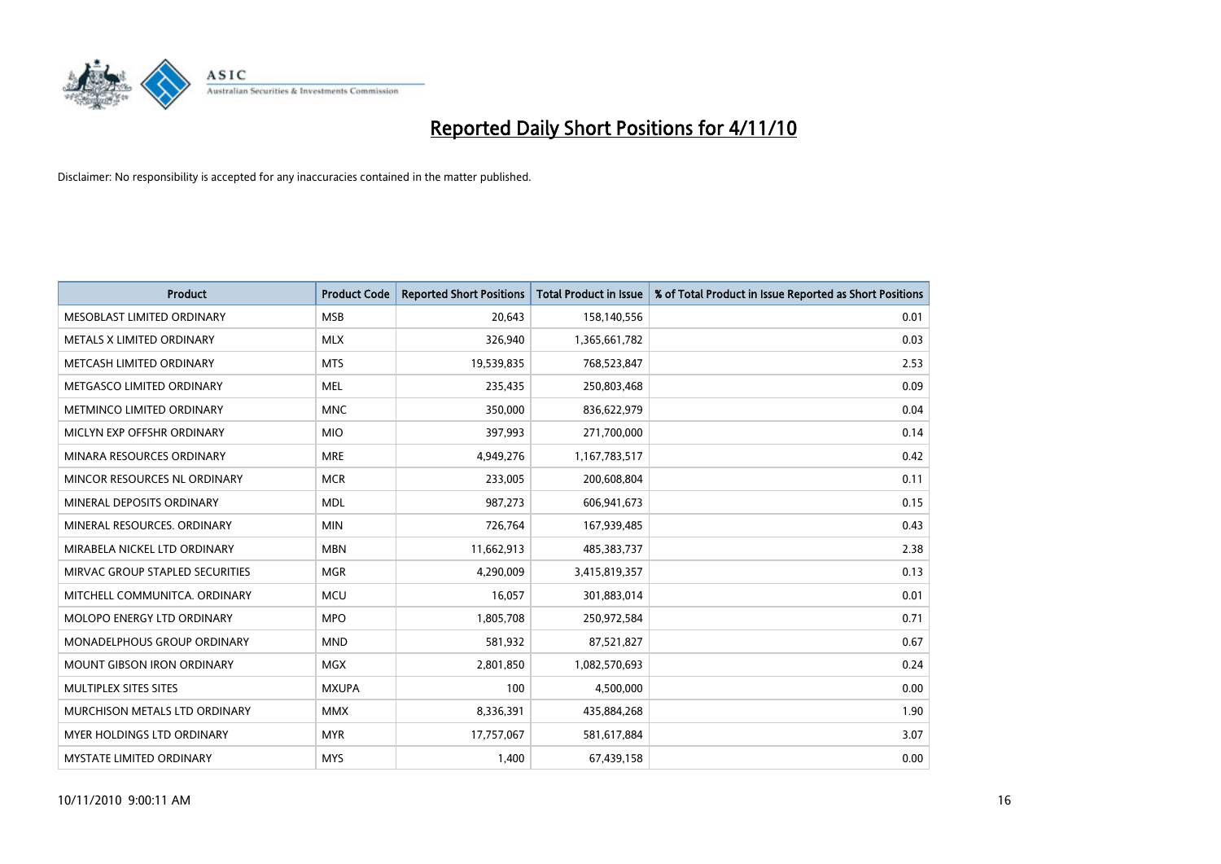

| <b>Product</b>                    | <b>Product Code</b> | <b>Reported Short Positions</b> | Total Product in Issue | % of Total Product in Issue Reported as Short Positions |
|-----------------------------------|---------------------|---------------------------------|------------------------|---------------------------------------------------------|
| MESOBLAST LIMITED ORDINARY        | <b>MSB</b>          | 20,643                          | 158,140,556            | 0.01                                                    |
| METALS X LIMITED ORDINARY         | <b>MLX</b>          | 326,940                         | 1,365,661,782          | 0.03                                                    |
| METCASH LIMITED ORDINARY          | <b>MTS</b>          | 19,539,835                      | 768,523,847            | 2.53                                                    |
| METGASCO LIMITED ORDINARY         | <b>MEL</b>          | 235,435                         | 250,803,468            | 0.09                                                    |
| METMINCO LIMITED ORDINARY         | <b>MNC</b>          | 350,000                         | 836,622,979            | 0.04                                                    |
| MICLYN EXP OFFSHR ORDINARY        | <b>MIO</b>          | 397,993                         | 271,700,000            | 0.14                                                    |
| MINARA RESOURCES ORDINARY         | <b>MRE</b>          | 4,949,276                       | 1,167,783,517          | 0.42                                                    |
| MINCOR RESOURCES NL ORDINARY      | <b>MCR</b>          | 233,005                         | 200,608,804            | 0.11                                                    |
| MINERAL DEPOSITS ORDINARY         | <b>MDL</b>          | 987,273                         | 606,941,673            | 0.15                                                    |
| MINERAL RESOURCES, ORDINARY       | <b>MIN</b>          | 726,764                         | 167,939,485            | 0.43                                                    |
| MIRABELA NICKEL LTD ORDINARY      | <b>MBN</b>          | 11,662,913                      | 485,383,737            | 2.38                                                    |
| MIRVAC GROUP STAPLED SECURITIES   | <b>MGR</b>          | 4,290,009                       | 3,415,819,357          | 0.13                                                    |
| MITCHELL COMMUNITCA. ORDINARY     | <b>MCU</b>          | 16,057                          | 301,883,014            | 0.01                                                    |
| <b>MOLOPO ENERGY LTD ORDINARY</b> | <b>MPO</b>          | 1,805,708                       | 250,972,584            | 0.71                                                    |
| MONADELPHOUS GROUP ORDINARY       | <b>MND</b>          | 581,932                         | 87,521,827             | 0.67                                                    |
| MOUNT GIBSON IRON ORDINARY        | <b>MGX</b>          | 2,801,850                       | 1,082,570,693          | 0.24                                                    |
| MULTIPLEX SITES SITES             | <b>MXUPA</b>        | 100                             | 4,500,000              | 0.00                                                    |
| MURCHISON METALS LTD ORDINARY     | <b>MMX</b>          | 8,336,391                       | 435,884,268            | 1.90                                                    |
| <b>MYER HOLDINGS LTD ORDINARY</b> | <b>MYR</b>          | 17,757,067                      | 581,617,884            | 3.07                                                    |
| MYSTATE LIMITED ORDINARY          | <b>MYS</b>          | 1,400                           | 67,439,158             | 0.00                                                    |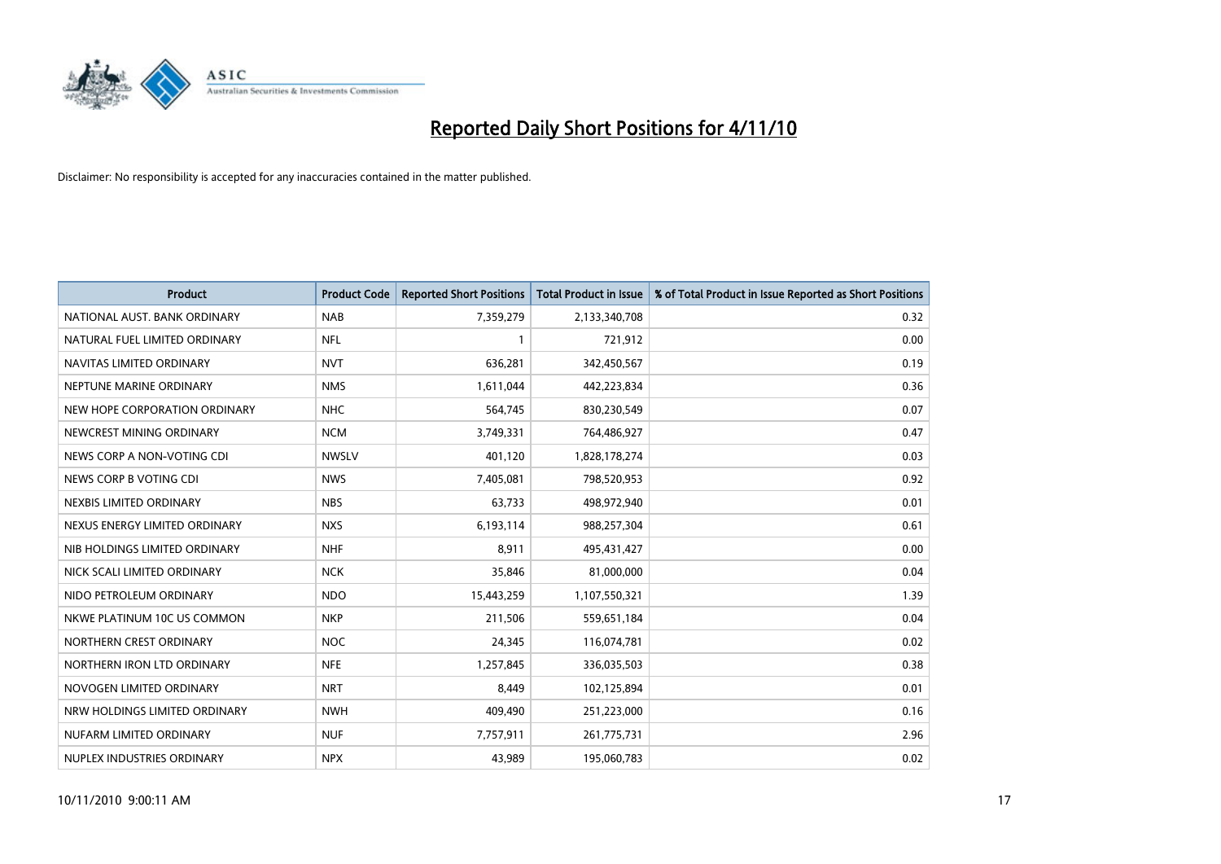

| <b>Product</b>                | <b>Product Code</b> | <b>Reported Short Positions</b> | <b>Total Product in Issue</b> | % of Total Product in Issue Reported as Short Positions |
|-------------------------------|---------------------|---------------------------------|-------------------------------|---------------------------------------------------------|
| NATIONAL AUST. BANK ORDINARY  | <b>NAB</b>          | 7,359,279                       | 2,133,340,708                 | 0.32                                                    |
| NATURAL FUEL LIMITED ORDINARY | <b>NFL</b>          |                                 | 721,912                       | 0.00                                                    |
| NAVITAS LIMITED ORDINARY      | <b>NVT</b>          | 636,281                         | 342,450,567                   | 0.19                                                    |
| NEPTUNE MARINE ORDINARY       | <b>NMS</b>          | 1,611,044                       | 442,223,834                   | 0.36                                                    |
| NEW HOPE CORPORATION ORDINARY | <b>NHC</b>          | 564,745                         | 830,230,549                   | 0.07                                                    |
| NEWCREST MINING ORDINARY      | <b>NCM</b>          | 3,749,331                       | 764,486,927                   | 0.47                                                    |
| NEWS CORP A NON-VOTING CDI    | <b>NWSLV</b>        | 401.120                         | 1,828,178,274                 | 0.03                                                    |
| NEWS CORP B VOTING CDI        | <b>NWS</b>          | 7,405,081                       | 798,520,953                   | 0.92                                                    |
| NEXBIS LIMITED ORDINARY       | <b>NBS</b>          | 63,733                          | 498,972,940                   | 0.01                                                    |
| NEXUS ENERGY LIMITED ORDINARY | <b>NXS</b>          | 6,193,114                       | 988,257,304                   | 0.61                                                    |
| NIB HOLDINGS LIMITED ORDINARY | <b>NHF</b>          | 8,911                           | 495,431,427                   | 0.00                                                    |
| NICK SCALI LIMITED ORDINARY   | <b>NCK</b>          | 35,846                          | 81,000,000                    | 0.04                                                    |
| NIDO PETROLEUM ORDINARY       | <b>NDO</b>          | 15,443,259                      | 1,107,550,321                 | 1.39                                                    |
| NKWE PLATINUM 10C US COMMON   | <b>NKP</b>          | 211,506                         | 559,651,184                   | 0.04                                                    |
| NORTHERN CREST ORDINARY       | <b>NOC</b>          | 24,345                          | 116,074,781                   | 0.02                                                    |
| NORTHERN IRON LTD ORDINARY    | <b>NFE</b>          | 1,257,845                       | 336,035,503                   | 0.38                                                    |
| NOVOGEN LIMITED ORDINARY      | <b>NRT</b>          | 8,449                           | 102,125,894                   | 0.01                                                    |
| NRW HOLDINGS LIMITED ORDINARY | <b>NWH</b>          | 409,490                         | 251,223,000                   | 0.16                                                    |
| NUFARM LIMITED ORDINARY       | <b>NUF</b>          | 7,757,911                       | 261,775,731                   | 2.96                                                    |
| NUPLEX INDUSTRIES ORDINARY    | <b>NPX</b>          | 43,989                          | 195,060,783                   | 0.02                                                    |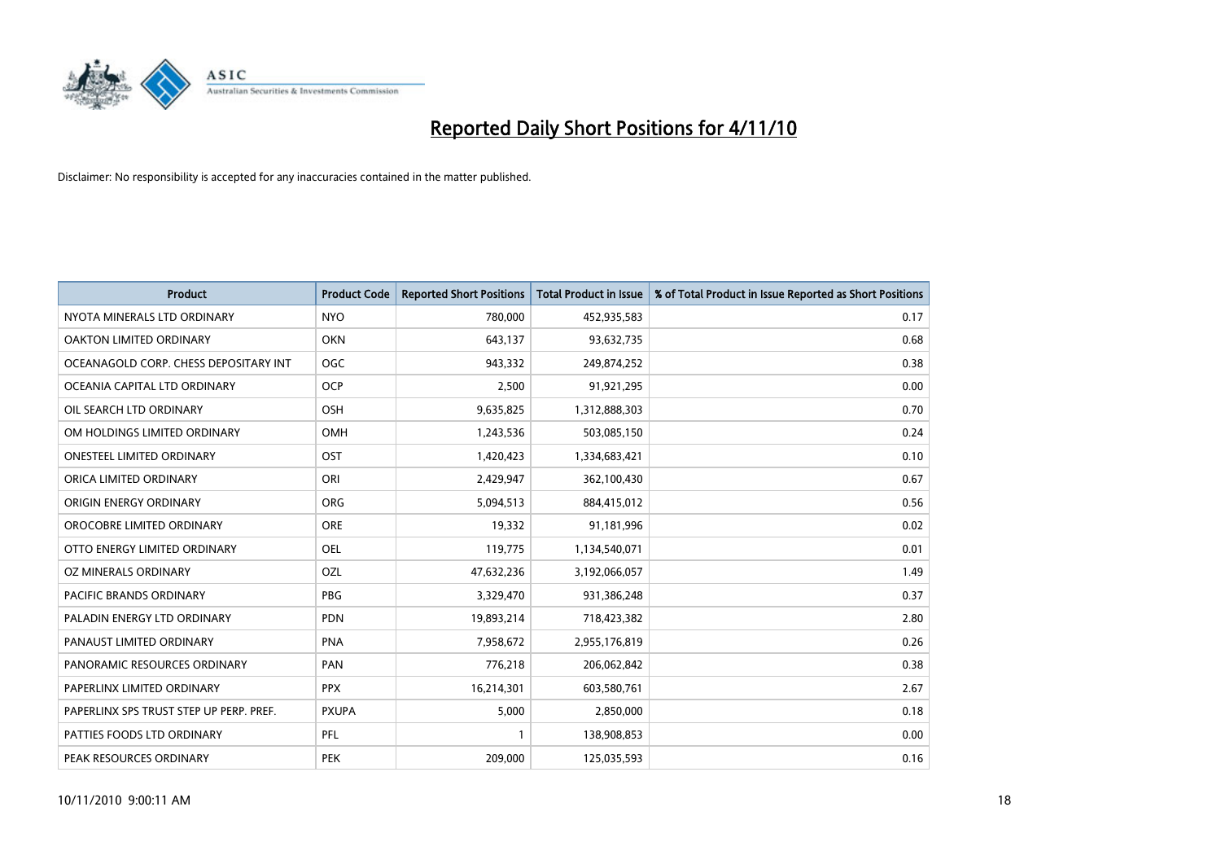

| <b>Product</b>                          | <b>Product Code</b> | <b>Reported Short Positions</b> | <b>Total Product in Issue</b> | % of Total Product in Issue Reported as Short Positions |
|-----------------------------------------|---------------------|---------------------------------|-------------------------------|---------------------------------------------------------|
| NYOTA MINERALS LTD ORDINARY             | <b>NYO</b>          | 780,000                         | 452,935,583                   | 0.17                                                    |
| OAKTON LIMITED ORDINARY                 | <b>OKN</b>          | 643,137                         | 93,632,735                    | 0.68                                                    |
| OCEANAGOLD CORP. CHESS DEPOSITARY INT   | <b>OGC</b>          | 943,332                         | 249,874,252                   | 0.38                                                    |
| OCEANIA CAPITAL LTD ORDINARY            | OCP                 | 2,500                           | 91,921,295                    | 0.00                                                    |
| OIL SEARCH LTD ORDINARY                 | OSH                 | 9,635,825                       | 1,312,888,303                 | 0.70                                                    |
| OM HOLDINGS LIMITED ORDINARY            | OMH                 | 1,243,536                       | 503,085,150                   | 0.24                                                    |
| <b>ONESTEEL LIMITED ORDINARY</b>        | OST                 | 1,420,423                       | 1,334,683,421                 | 0.10                                                    |
| ORICA LIMITED ORDINARY                  | ORI                 | 2,429,947                       | 362,100,430                   | 0.67                                                    |
| ORIGIN ENERGY ORDINARY                  | <b>ORG</b>          | 5,094,513                       | 884,415,012                   | 0.56                                                    |
| OROCOBRE LIMITED ORDINARY               | <b>ORE</b>          | 19,332                          | 91,181,996                    | 0.02                                                    |
| OTTO ENERGY LIMITED ORDINARY            | <b>OEL</b>          | 119,775                         | 1,134,540,071                 | 0.01                                                    |
| OZ MINERALS ORDINARY                    | OZL                 | 47,632,236                      | 3,192,066,057                 | 1.49                                                    |
| <b>PACIFIC BRANDS ORDINARY</b>          | <b>PBG</b>          | 3,329,470                       | 931,386,248                   | 0.37                                                    |
| PALADIN ENERGY LTD ORDINARY             | <b>PDN</b>          | 19,893,214                      | 718,423,382                   | 2.80                                                    |
| PANAUST LIMITED ORDINARY                | PNA                 | 7,958,672                       | 2,955,176,819                 | 0.26                                                    |
| PANORAMIC RESOURCES ORDINARY            | PAN                 | 776,218                         | 206,062,842                   | 0.38                                                    |
| PAPERLINX LIMITED ORDINARY              | <b>PPX</b>          | 16,214,301                      | 603,580,761                   | 2.67                                                    |
| PAPERLINX SPS TRUST STEP UP PERP. PREF. | <b>PXUPA</b>        | 5,000                           | 2,850,000                     | 0.18                                                    |
| PATTIES FOODS LTD ORDINARY              | PFL                 |                                 | 138,908,853                   | 0.00                                                    |
| PEAK RESOURCES ORDINARY                 | PEK                 | 209.000                         | 125,035,593                   | 0.16                                                    |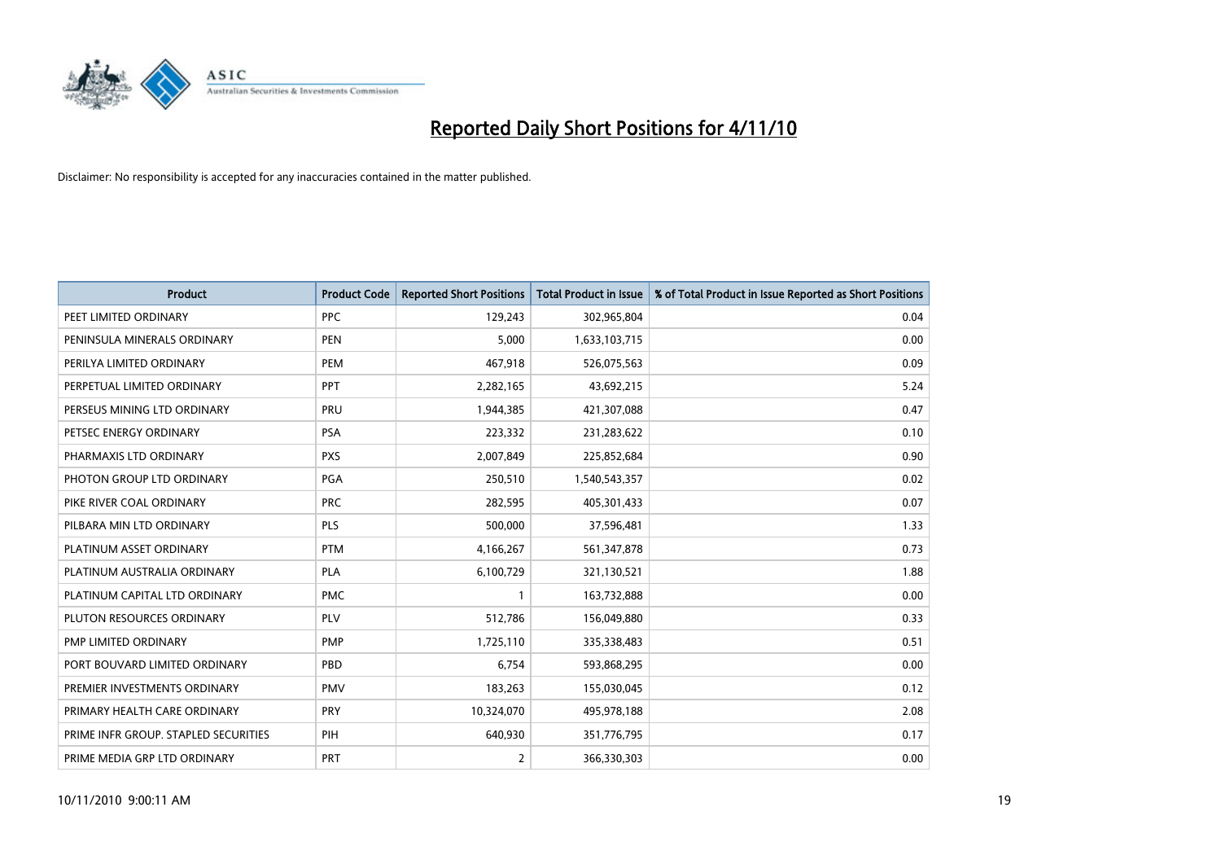

| <b>Product</b>                       | <b>Product Code</b> | <b>Reported Short Positions</b> | <b>Total Product in Issue</b> | % of Total Product in Issue Reported as Short Positions |
|--------------------------------------|---------------------|---------------------------------|-------------------------------|---------------------------------------------------------|
| PEET LIMITED ORDINARY                | PPC                 | 129,243                         | 302,965,804                   | 0.04                                                    |
| PENINSULA MINERALS ORDINARY          | <b>PEN</b>          | 5,000                           | 1,633,103,715                 | 0.00                                                    |
| PERILYA LIMITED ORDINARY             | <b>PEM</b>          | 467,918                         | 526,075,563                   | 0.09                                                    |
| PERPETUAL LIMITED ORDINARY           | PPT                 | 2,282,165                       | 43,692,215                    | 5.24                                                    |
| PERSEUS MINING LTD ORDINARY          | PRU                 | 1,944,385                       | 421,307,088                   | 0.47                                                    |
| PETSEC ENERGY ORDINARY               | <b>PSA</b>          | 223,332                         | 231,283,622                   | 0.10                                                    |
| PHARMAXIS LTD ORDINARY               | <b>PXS</b>          | 2,007,849                       | 225,852,684                   | 0.90                                                    |
| PHOTON GROUP LTD ORDINARY            | PGA                 | 250,510                         | 1,540,543,357                 | 0.02                                                    |
| PIKE RIVER COAL ORDINARY             | <b>PRC</b>          | 282,595                         | 405,301,433                   | 0.07                                                    |
| PILBARA MIN LTD ORDINARY             | PLS                 | 500,000                         | 37,596,481                    | 1.33                                                    |
| PLATINUM ASSET ORDINARY              | <b>PTM</b>          | 4,166,267                       | 561,347,878                   | 0.73                                                    |
| PLATINUM AUSTRALIA ORDINARY          | <b>PLA</b>          | 6,100,729                       | 321,130,521                   | 1.88                                                    |
| PLATINUM CAPITAL LTD ORDINARY        | <b>PMC</b>          |                                 | 163,732,888                   | 0.00                                                    |
| PLUTON RESOURCES ORDINARY            | PLV                 | 512,786                         | 156,049,880                   | 0.33                                                    |
| <b>PMP LIMITED ORDINARY</b>          | <b>PMP</b>          | 1,725,110                       | 335,338,483                   | 0.51                                                    |
| PORT BOUVARD LIMITED ORDINARY        | PBD                 | 6,754                           | 593,868,295                   | 0.00                                                    |
| PREMIER INVESTMENTS ORDINARY         | <b>PMV</b>          | 183,263                         | 155,030,045                   | 0.12                                                    |
| PRIMARY HEALTH CARE ORDINARY         | <b>PRY</b>          | 10,324,070                      | 495,978,188                   | 2.08                                                    |
| PRIME INFR GROUP. STAPLED SECURITIES | PIH                 | 640,930                         | 351,776,795                   | 0.17                                                    |
| PRIME MEDIA GRP LTD ORDINARY         | PRT                 | 2                               | 366,330,303                   | 0.00                                                    |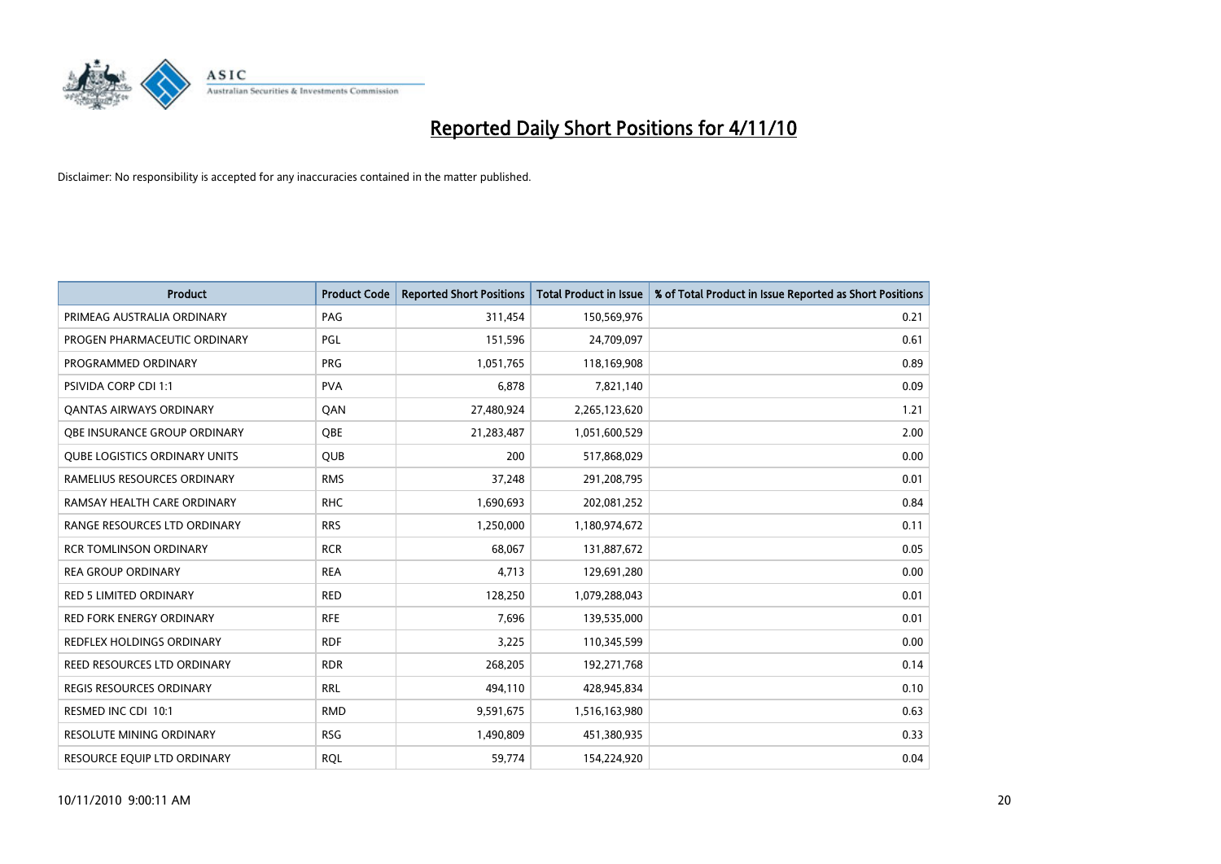

| <b>Product</b>                       | <b>Product Code</b> | <b>Reported Short Positions</b> | Total Product in Issue | % of Total Product in Issue Reported as Short Positions |
|--------------------------------------|---------------------|---------------------------------|------------------------|---------------------------------------------------------|
| PRIMEAG AUSTRALIA ORDINARY           | PAG                 | 311,454                         | 150,569,976            | 0.21                                                    |
| PROGEN PHARMACEUTIC ORDINARY         | PGL                 | 151,596                         | 24,709,097             | 0.61                                                    |
| PROGRAMMED ORDINARY                  | <b>PRG</b>          | 1,051,765                       | 118,169,908            | 0.89                                                    |
| PSIVIDA CORP CDI 1:1                 | <b>PVA</b>          | 6,878                           | 7,821,140              | 0.09                                                    |
| OANTAS AIRWAYS ORDINARY              | QAN                 | 27,480,924                      | 2,265,123,620          | 1.21                                                    |
| OBE INSURANCE GROUP ORDINARY         | OBE                 | 21,283,487                      | 1,051,600,529          | 2.00                                                    |
| <b>QUBE LOGISTICS ORDINARY UNITS</b> | <b>OUB</b>          | 200                             | 517,868,029            | 0.00                                                    |
| RAMELIUS RESOURCES ORDINARY          | <b>RMS</b>          | 37,248                          | 291,208,795            | 0.01                                                    |
| RAMSAY HEALTH CARE ORDINARY          | <b>RHC</b>          | 1,690,693                       | 202,081,252            | 0.84                                                    |
| RANGE RESOURCES LTD ORDINARY         | <b>RRS</b>          | 1,250,000                       | 1,180,974,672          | 0.11                                                    |
| <b>RCR TOMLINSON ORDINARY</b>        | <b>RCR</b>          | 68,067                          | 131,887,672            | 0.05                                                    |
| <b>REA GROUP ORDINARY</b>            | <b>REA</b>          | 4,713                           | 129,691,280            | 0.00                                                    |
| <b>RED 5 LIMITED ORDINARY</b>        | <b>RED</b>          | 128,250                         | 1,079,288,043          | 0.01                                                    |
| <b>RED FORK ENERGY ORDINARY</b>      | <b>RFE</b>          | 7,696                           | 139,535,000            | 0.01                                                    |
| <b>REDFLEX HOLDINGS ORDINARY</b>     | <b>RDF</b>          | 3,225                           | 110,345,599            | 0.00                                                    |
| REED RESOURCES LTD ORDINARY          | <b>RDR</b>          | 268,205                         | 192,271,768            | 0.14                                                    |
| <b>REGIS RESOURCES ORDINARY</b>      | <b>RRL</b>          | 494,110                         | 428,945,834            | 0.10                                                    |
| RESMED INC CDI 10:1                  | <b>RMD</b>          | 9,591,675                       | 1,516,163,980          | 0.63                                                    |
| <b>RESOLUTE MINING ORDINARY</b>      | <b>RSG</b>          | 1,490,809                       | 451,380,935            | 0.33                                                    |
| RESOURCE EQUIP LTD ORDINARY          | <b>ROL</b>          | 59,774                          | 154,224,920            | 0.04                                                    |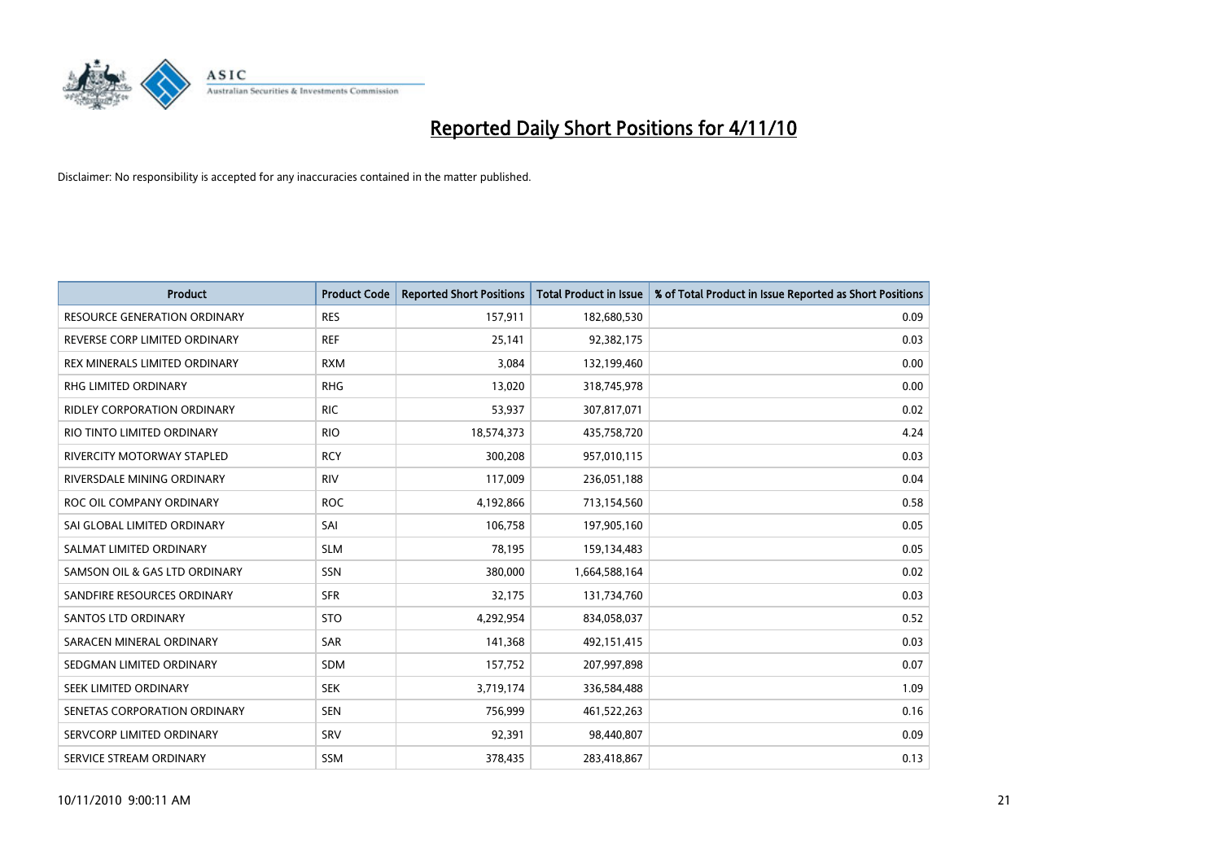

| <b>Product</b>                      | <b>Product Code</b> | <b>Reported Short Positions</b> | <b>Total Product in Issue</b> | % of Total Product in Issue Reported as Short Positions |
|-------------------------------------|---------------------|---------------------------------|-------------------------------|---------------------------------------------------------|
| <b>RESOURCE GENERATION ORDINARY</b> | <b>RES</b>          | 157,911                         | 182,680,530                   | 0.09                                                    |
| REVERSE CORP LIMITED ORDINARY       | <b>REF</b>          | 25,141                          | 92,382,175                    | 0.03                                                    |
| REX MINERALS LIMITED ORDINARY       | <b>RXM</b>          | 3,084                           | 132,199,460                   | 0.00                                                    |
| RHG LIMITED ORDINARY                | <b>RHG</b>          | 13,020                          | 318,745,978                   | 0.00                                                    |
| RIDLEY CORPORATION ORDINARY         | <b>RIC</b>          | 53,937                          | 307,817,071                   | 0.02                                                    |
| RIO TINTO LIMITED ORDINARY          | <b>RIO</b>          | 18,574,373                      | 435,758,720                   | 4.24                                                    |
| <b>RIVERCITY MOTORWAY STAPLED</b>   | <b>RCY</b>          | 300,208                         | 957,010,115                   | 0.03                                                    |
| RIVERSDALE MINING ORDINARY          | <b>RIV</b>          | 117,009                         | 236,051,188                   | 0.04                                                    |
| ROC OIL COMPANY ORDINARY            | <b>ROC</b>          | 4,192,866                       | 713,154,560                   | 0.58                                                    |
| SAI GLOBAL LIMITED ORDINARY         | SAI                 | 106,758                         | 197,905,160                   | 0.05                                                    |
| SALMAT LIMITED ORDINARY             | <b>SLM</b>          | 78,195                          | 159,134,483                   | 0.05                                                    |
| SAMSON OIL & GAS LTD ORDINARY       | SSN                 | 380,000                         | 1,664,588,164                 | 0.02                                                    |
| SANDFIRE RESOURCES ORDINARY         | <b>SFR</b>          | 32,175                          | 131,734,760                   | 0.03                                                    |
| <b>SANTOS LTD ORDINARY</b>          | <b>STO</b>          | 4,292,954                       | 834,058,037                   | 0.52                                                    |
| SARACEN MINERAL ORDINARY            | <b>SAR</b>          | 141,368                         | 492,151,415                   | 0.03                                                    |
| SEDGMAN LIMITED ORDINARY            | <b>SDM</b>          | 157,752                         | 207,997,898                   | 0.07                                                    |
| <b>SEEK LIMITED ORDINARY</b>        | <b>SEK</b>          | 3,719,174                       | 336,584,488                   | 1.09                                                    |
| SENETAS CORPORATION ORDINARY        | <b>SEN</b>          | 756,999                         | 461,522,263                   | 0.16                                                    |
| SERVCORP LIMITED ORDINARY           | SRV                 | 92,391                          | 98,440,807                    | 0.09                                                    |
| SERVICE STREAM ORDINARY             | <b>SSM</b>          | 378.435                         | 283,418,867                   | 0.13                                                    |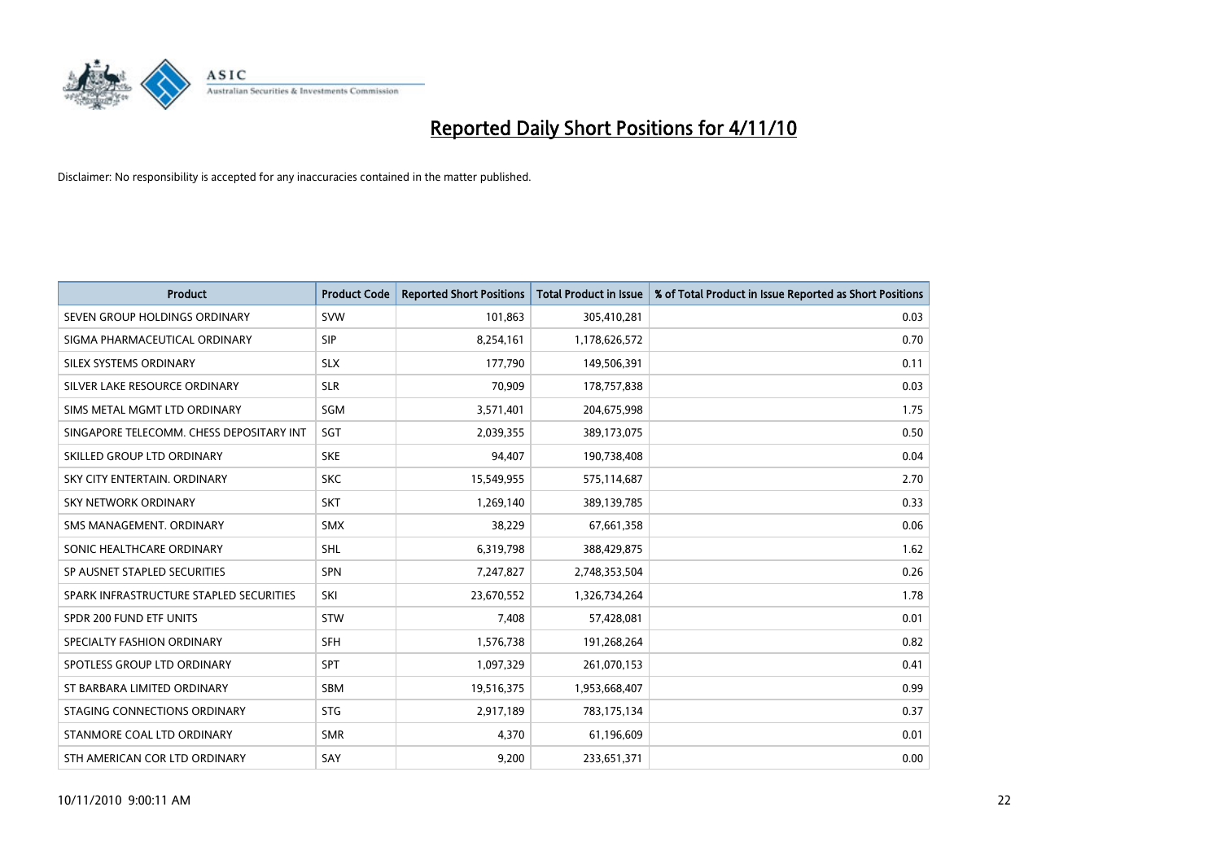

| <b>Product</b>                           | <b>Product Code</b> | <b>Reported Short Positions</b> | <b>Total Product in Issue</b> | % of Total Product in Issue Reported as Short Positions |
|------------------------------------------|---------------------|---------------------------------|-------------------------------|---------------------------------------------------------|
| SEVEN GROUP HOLDINGS ORDINARY            | <b>SVW</b>          | 101,863                         | 305,410,281                   | 0.03                                                    |
| SIGMA PHARMACEUTICAL ORDINARY            | <b>SIP</b>          | 8,254,161                       | 1,178,626,572                 | 0.70                                                    |
| SILEX SYSTEMS ORDINARY                   | <b>SLX</b>          | 177,790                         | 149,506,391                   | 0.11                                                    |
| SILVER LAKE RESOURCE ORDINARY            | <b>SLR</b>          | 70,909                          | 178,757,838                   | 0.03                                                    |
| SIMS METAL MGMT LTD ORDINARY             | SGM                 | 3,571,401                       | 204,675,998                   | 1.75                                                    |
| SINGAPORE TELECOMM. CHESS DEPOSITARY INT | SGT                 | 2,039,355                       | 389,173,075                   | 0.50                                                    |
| SKILLED GROUP LTD ORDINARY               | <b>SKE</b>          | 94,407                          | 190,738,408                   | 0.04                                                    |
| SKY CITY ENTERTAIN. ORDINARY             | <b>SKC</b>          | 15,549,955                      | 575,114,687                   | 2.70                                                    |
| <b>SKY NETWORK ORDINARY</b>              | <b>SKT</b>          | 1,269,140                       | 389,139,785                   | 0.33                                                    |
| SMS MANAGEMENT, ORDINARY                 | <b>SMX</b>          | 38,229                          | 67,661,358                    | 0.06                                                    |
| SONIC HEALTHCARE ORDINARY                | <b>SHL</b>          | 6,319,798                       | 388,429,875                   | 1.62                                                    |
| SP AUSNET STAPLED SECURITIES             | SPN                 | 7,247,827                       | 2,748,353,504                 | 0.26                                                    |
| SPARK INFRASTRUCTURE STAPLED SECURITIES  | SKI                 | 23,670,552                      | 1,326,734,264                 | 1.78                                                    |
| SPDR 200 FUND ETF UNITS                  | <b>STW</b>          | 7,408                           | 57,428,081                    | 0.01                                                    |
| SPECIALTY FASHION ORDINARY               | <b>SFH</b>          | 1,576,738                       | 191,268,264                   | 0.82                                                    |
| SPOTLESS GROUP LTD ORDINARY              | SPT                 | 1,097,329                       | 261,070,153                   | 0.41                                                    |
| ST BARBARA LIMITED ORDINARY              | <b>SBM</b>          | 19,516,375                      | 1,953,668,407                 | 0.99                                                    |
| STAGING CONNECTIONS ORDINARY             | <b>STG</b>          | 2,917,189                       | 783,175,134                   | 0.37                                                    |
| STANMORE COAL LTD ORDINARY               | <b>SMR</b>          | 4,370                           | 61,196,609                    | 0.01                                                    |
| STH AMERICAN COR LTD ORDINARY            | SAY                 | 9,200                           | 233,651,371                   | 0.00                                                    |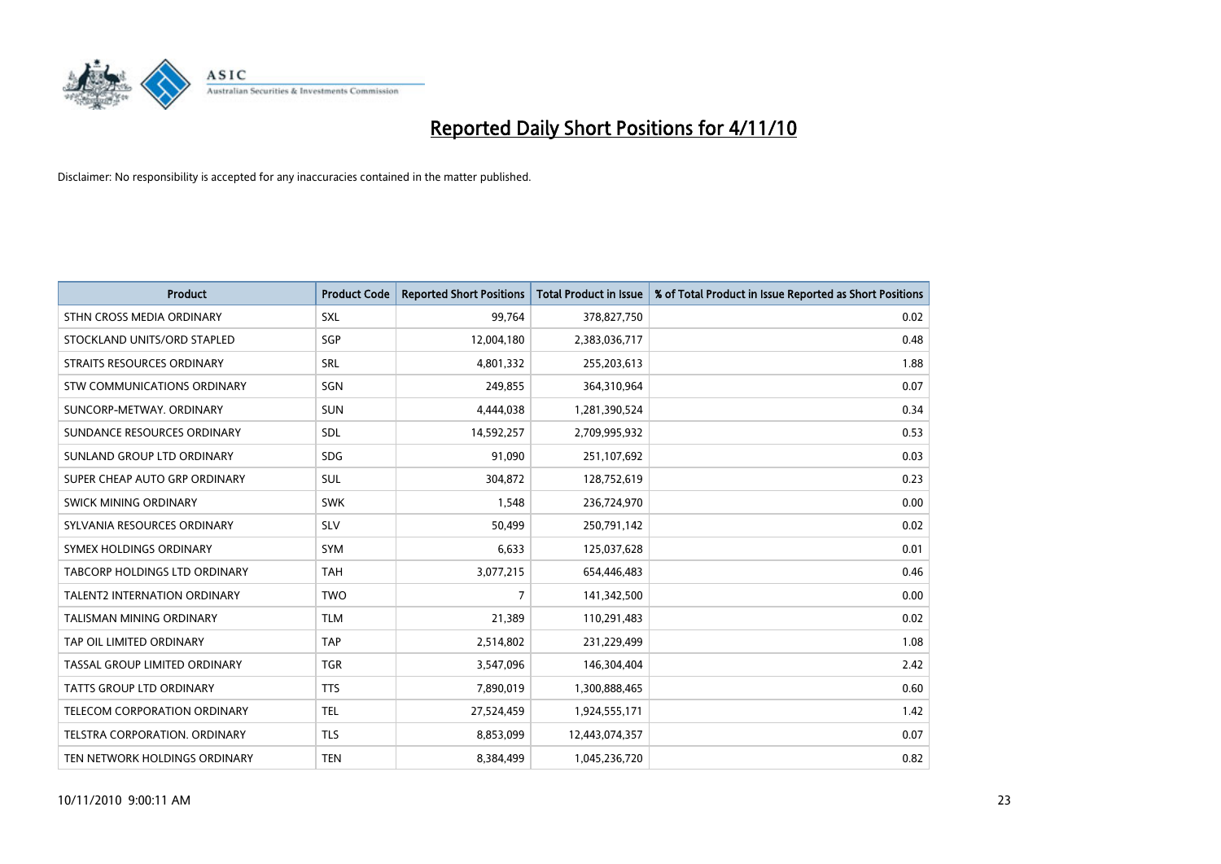

| <b>Product</b>                    | <b>Product Code</b> | <b>Reported Short Positions</b> | <b>Total Product in Issue</b> | % of Total Product in Issue Reported as Short Positions |
|-----------------------------------|---------------------|---------------------------------|-------------------------------|---------------------------------------------------------|
| STHN CROSS MEDIA ORDINARY         | <b>SXL</b>          | 99,764                          | 378,827,750                   | 0.02                                                    |
| STOCKLAND UNITS/ORD STAPLED       | SGP                 | 12,004,180                      | 2,383,036,717                 | 0.48                                                    |
| <b>STRAITS RESOURCES ORDINARY</b> | <b>SRL</b>          | 4,801,332                       | 255,203,613                   | 1.88                                                    |
| STW COMMUNICATIONS ORDINARY       | SGN                 | 249,855                         | 364,310,964                   | 0.07                                                    |
| SUNCORP-METWAY, ORDINARY          | <b>SUN</b>          | 4,444,038                       | 1,281,390,524                 | 0.34                                                    |
| SUNDANCE RESOURCES ORDINARY       | SDL                 | 14,592,257                      | 2,709,995,932                 | 0.53                                                    |
| SUNLAND GROUP LTD ORDINARY        | <b>SDG</b>          | 91,090                          | 251,107,692                   | 0.03                                                    |
| SUPER CHEAP AUTO GRP ORDINARY     | <b>SUL</b>          | 304,872                         | 128,752,619                   | 0.23                                                    |
| <b>SWICK MINING ORDINARY</b>      | <b>SWK</b>          | 1,548                           | 236,724,970                   | 0.00                                                    |
| SYLVANIA RESOURCES ORDINARY       | <b>SLV</b>          | 50,499                          | 250,791,142                   | 0.02                                                    |
| SYMEX HOLDINGS ORDINARY           | <b>SYM</b>          | 6,633                           | 125,037,628                   | 0.01                                                    |
| TABCORP HOLDINGS LTD ORDINARY     | <b>TAH</b>          | 3,077,215                       | 654,446,483                   | 0.46                                                    |
| TALENT2 INTERNATION ORDINARY      | <b>TWO</b>          | $\overline{7}$                  | 141,342,500                   | 0.00                                                    |
| <b>TALISMAN MINING ORDINARY</b>   | <b>TLM</b>          | 21,389                          | 110,291,483                   | 0.02                                                    |
| TAP OIL LIMITED ORDINARY          | <b>TAP</b>          | 2,514,802                       | 231,229,499                   | 1.08                                                    |
| TASSAL GROUP LIMITED ORDINARY     | <b>TGR</b>          | 3,547,096                       | 146,304,404                   | 2.42                                                    |
| TATTS GROUP LTD ORDINARY          | <b>TTS</b>          | 7,890,019                       | 1,300,888,465                 | 0.60                                                    |
| TELECOM CORPORATION ORDINARY      | <b>TEL</b>          | 27,524,459                      | 1,924,555,171                 | 1.42                                                    |
| TELSTRA CORPORATION, ORDINARY     | <b>TLS</b>          | 8,853,099                       | 12,443,074,357                | 0.07                                                    |
| TEN NETWORK HOLDINGS ORDINARY     | <b>TEN</b>          | 8,384,499                       | 1,045,236,720                 | 0.82                                                    |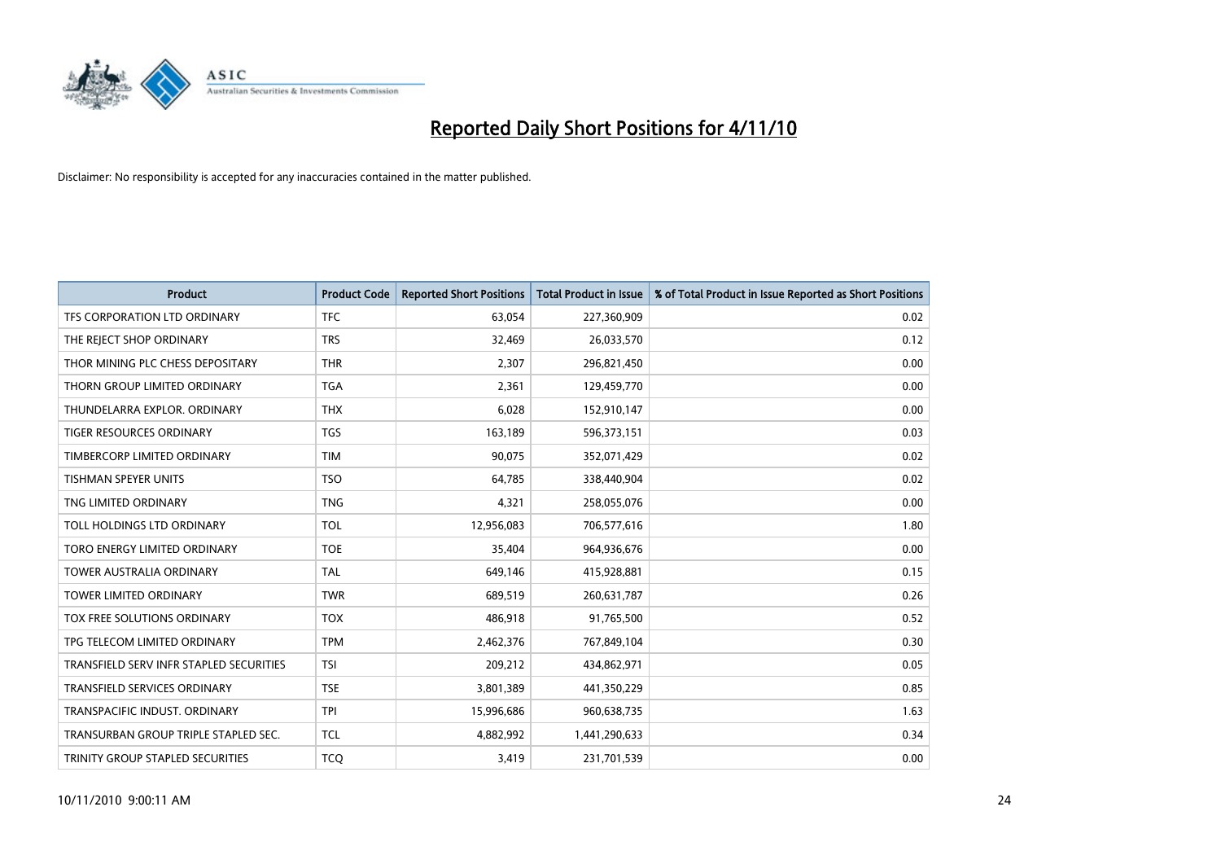

| <b>Product</b>                          | <b>Product Code</b> | <b>Reported Short Positions</b> | Total Product in Issue | % of Total Product in Issue Reported as Short Positions |
|-----------------------------------------|---------------------|---------------------------------|------------------------|---------------------------------------------------------|
| TFS CORPORATION LTD ORDINARY            | <b>TFC</b>          | 63,054                          | 227,360,909            | 0.02                                                    |
| THE REJECT SHOP ORDINARY                | <b>TRS</b>          | 32,469                          | 26,033,570             | 0.12                                                    |
| THOR MINING PLC CHESS DEPOSITARY        | <b>THR</b>          | 2,307                           | 296,821,450            | 0.00                                                    |
| THORN GROUP LIMITED ORDINARY            | <b>TGA</b>          | 2,361                           | 129,459,770            | 0.00                                                    |
| THUNDELARRA EXPLOR, ORDINARY            | <b>THX</b>          | 6,028                           | 152,910,147            | 0.00                                                    |
| <b>TIGER RESOURCES ORDINARY</b>         | <b>TGS</b>          | 163,189                         | 596,373,151            | 0.03                                                    |
| TIMBERCORP LIMITED ORDINARY             | <b>TIM</b>          | 90,075                          | 352,071,429            | 0.02                                                    |
| TISHMAN SPEYER UNITS                    | <b>TSO</b>          | 64,785                          | 338,440,904            | 0.02                                                    |
| TNG LIMITED ORDINARY                    | <b>TNG</b>          | 4,321                           | 258,055,076            | 0.00                                                    |
| TOLL HOLDINGS LTD ORDINARY              | <b>TOL</b>          | 12,956,083                      | 706,577,616            | 1.80                                                    |
| TORO ENERGY LIMITED ORDINARY            | <b>TOE</b>          | 35,404                          | 964,936,676            | 0.00                                                    |
| <b>TOWER AUSTRALIA ORDINARY</b>         | <b>TAL</b>          | 649,146                         | 415,928,881            | 0.15                                                    |
| TOWER LIMITED ORDINARY                  | <b>TWR</b>          | 689,519                         | 260,631,787            | 0.26                                                    |
| TOX FREE SOLUTIONS ORDINARY             | <b>TOX</b>          | 486,918                         | 91,765,500             | 0.52                                                    |
| TPG TELECOM LIMITED ORDINARY            | <b>TPM</b>          | 2,462,376                       | 767,849,104            | 0.30                                                    |
| TRANSFIELD SERV INFR STAPLED SECURITIES | <b>TSI</b>          | 209,212                         | 434,862,971            | 0.05                                                    |
| TRANSFIELD SERVICES ORDINARY            | <b>TSE</b>          | 3,801,389                       | 441,350,229            | 0.85                                                    |
| TRANSPACIFIC INDUST. ORDINARY           | <b>TPI</b>          | 15,996,686                      | 960,638,735            | 1.63                                                    |
| TRANSURBAN GROUP TRIPLE STAPLED SEC.    | <b>TCL</b>          | 4,882,992                       | 1,441,290,633          | 0.34                                                    |
| TRINITY GROUP STAPLED SECURITIES        | <b>TCO</b>          | 3,419                           | 231,701,539            | 0.00                                                    |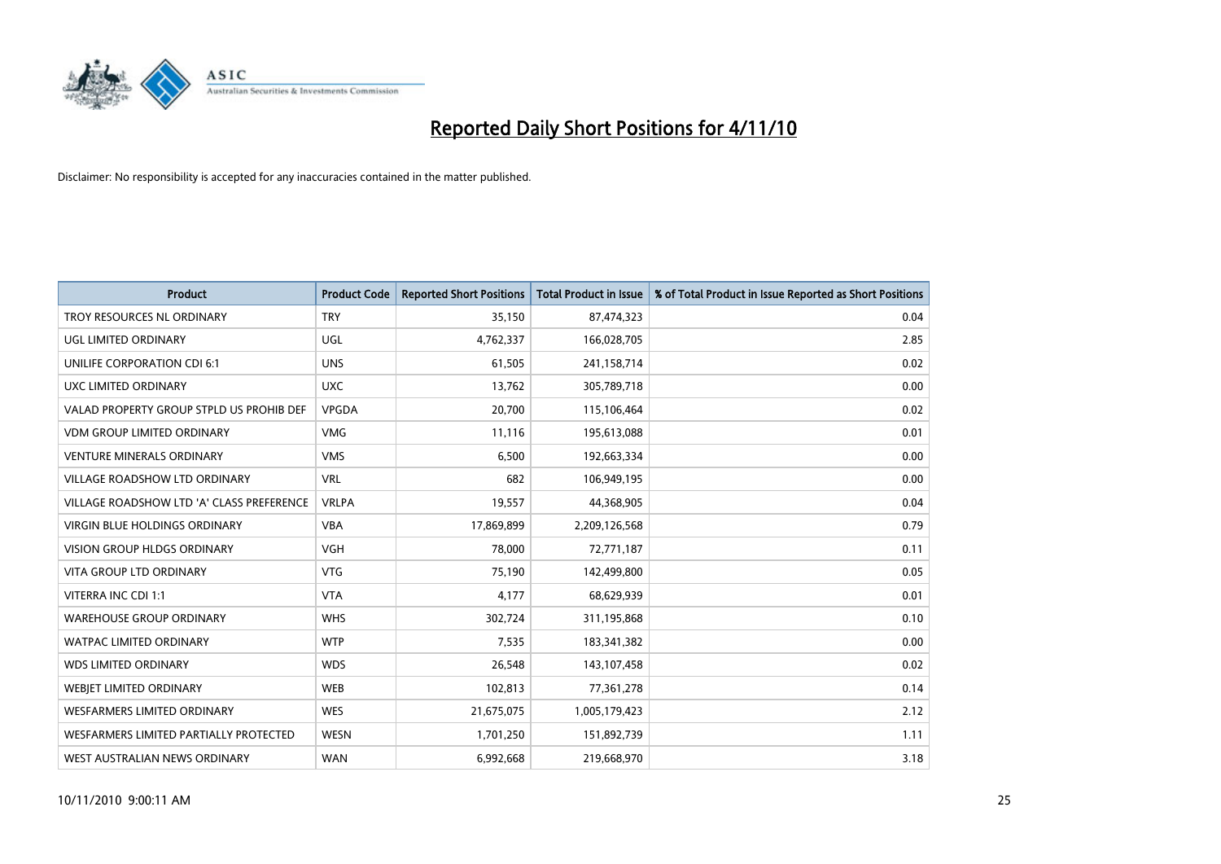

| <b>Product</b>                            | <b>Product Code</b> | <b>Reported Short Positions</b> | <b>Total Product in Issue</b> | % of Total Product in Issue Reported as Short Positions |
|-------------------------------------------|---------------------|---------------------------------|-------------------------------|---------------------------------------------------------|
| <b>TROY RESOURCES NL ORDINARY</b>         | <b>TRY</b>          | 35,150                          | 87,474,323                    | 0.04                                                    |
| UGL LIMITED ORDINARY                      | UGL                 | 4,762,337                       | 166,028,705                   | 2.85                                                    |
| UNILIFE CORPORATION CDI 6:1               | <b>UNS</b>          | 61,505                          | 241,158,714                   | 0.02                                                    |
| UXC LIMITED ORDINARY                      | <b>UXC</b>          | 13,762                          | 305,789,718                   | 0.00                                                    |
| VALAD PROPERTY GROUP STPLD US PROHIB DEF  | <b>VPGDA</b>        | 20,700                          | 115,106,464                   | 0.02                                                    |
| <b>VDM GROUP LIMITED ORDINARY</b>         | <b>VMG</b>          | 11,116                          | 195,613,088                   | 0.01                                                    |
| <b>VENTURE MINERALS ORDINARY</b>          | <b>VMS</b>          | 6,500                           | 192,663,334                   | 0.00                                                    |
| <b>VILLAGE ROADSHOW LTD ORDINARY</b>      | <b>VRL</b>          | 682                             | 106,949,195                   | 0.00                                                    |
| VILLAGE ROADSHOW LTD 'A' CLASS PREFERENCE | <b>VRLPA</b>        | 19,557                          | 44,368,905                    | 0.04                                                    |
| <b>VIRGIN BLUE HOLDINGS ORDINARY</b>      | <b>VBA</b>          | 17,869,899                      | 2,209,126,568                 | 0.79                                                    |
| VISION GROUP HLDGS ORDINARY               | <b>VGH</b>          | 78,000                          | 72,771,187                    | 0.11                                                    |
| <b>VITA GROUP LTD ORDINARY</b>            | <b>VTG</b>          | 75,190                          | 142,499,800                   | 0.05                                                    |
| VITERRA INC CDI 1:1                       | <b>VTA</b>          | 4,177                           | 68,629,939                    | 0.01                                                    |
| <b>WAREHOUSE GROUP ORDINARY</b>           | <b>WHS</b>          | 302,724                         | 311,195,868                   | 0.10                                                    |
| <b>WATPAC LIMITED ORDINARY</b>            | <b>WTP</b>          | 7,535                           | 183,341,382                   | 0.00                                                    |
| <b>WDS LIMITED ORDINARY</b>               | <b>WDS</b>          | 26,548                          | 143, 107, 458                 | 0.02                                                    |
| WEBIET LIMITED ORDINARY                   | <b>WEB</b>          | 102,813                         | 77,361,278                    | 0.14                                                    |
| <b>WESFARMERS LIMITED ORDINARY</b>        | <b>WES</b>          | 21,675,075                      | 1,005,179,423                 | 2.12                                                    |
| WESFARMERS LIMITED PARTIALLY PROTECTED    | <b>WESN</b>         | 1,701,250                       | 151,892,739                   | 1.11                                                    |
| WEST AUSTRALIAN NEWS ORDINARY             | <b>WAN</b>          | 6,992,668                       | 219,668,970                   | 3.18                                                    |